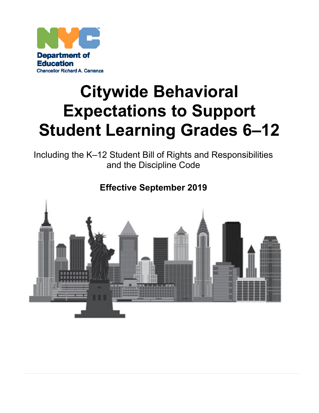

# **Citywide Behavioral Expectations to Support Student Learning Grades 6–12**

Including the K–12 Student Bill of Rights and Responsibilities and the Discipline Code

# **Effective September 2019**

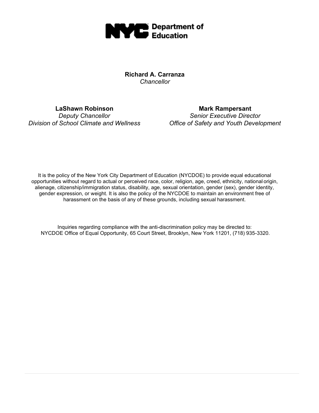

**Richard A. Carranza** *Chancellor*

**LaShawn Robinson** *Deputy Chancellor Division of School Climate and Wellness*

**Mark Rampersant** *Senior Executive Director Office of Safety and Youth Development*

It is the policy of the New York City Department of Education (NYCDOE) to provide equal educational opportunities without regard to actual or perceived race, color, religion, age, creed, ethnicity, national origin, alienage, citizenship/immigration status, disability, age, sexual orientation, gender (sex), gender identity, gender expression, or weight. It is also the policy of the NYCDOE to maintain an environment free of harassment on the basis of any of these grounds, including sexual harassment.

Inquiries regarding compliance with the anti-discrimination policy may be directed to: NYCDOE Office of Equal Opportunity, 65 Court Street, Brooklyn, New York 11201, (718) 935-3320.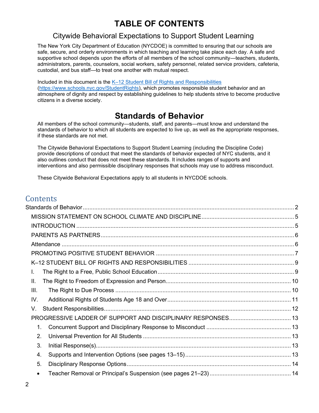# **TABLE OF CONTENTS**

# Citywide Behavioral Expectations to Support Student Learning

The New York City Department of Education (NYCDOE) is committed to ensuring that our schools are safe, secure, and orderly environments in which teaching and learning take place each day. A safe and supportive school depends upon the efforts of all members of the school community—teachers, students, administrators, parents, counselors, social workers, safety personnel, related service providers, cafeteria, custodial, and bus staff—to treat one another with mutual respect.

Included in this document is the K-[12 Student Bill of Rights and Responsibilities](https://www.schools.nyc.gov/StudentRights) [\(https://www.schools.nyc.gov/StudentRights\)](https://www.schools.nyc.gov/StudentRights), which promotes responsible student behavior and an atmosphere of dignity and respect by establishing guidelines to help students strive to become productive citizens in a diverse society.

# **Standards of Behavior**

<span id="page-2-0"></span>All members of the school community—students, staff, and parents—must know and understand the standards of behavior to which all students are expected to live up, as well as the appropriate responses, if these standards are not met.

The Citywide Behavioral Expectations to Support Student Learning (including the Discipline Code) provide descriptions of conduct that meet the standards of behavior expected of NYC students, and it also outlines conduct that does not meet these standards. It includes ranges of supports and interventions and also permissible disciplinary responses that schools may use to address misconduct.

These Citywide Behavioral Expectations apply to all students in NYCDOE schools.

# **Contents**

| L.        |  |
|-----------|--|
| Ш.        |  |
| III.      |  |
| IV.       |  |
| V.        |  |
|           |  |
| $1_{-}$   |  |
| 2.        |  |
| 3.        |  |
| 4.        |  |
| 5.        |  |
| $\bullet$ |  |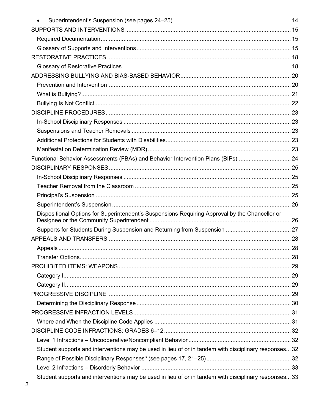| $\bullet$                                                                                             |  |
|-------------------------------------------------------------------------------------------------------|--|
|                                                                                                       |  |
|                                                                                                       |  |
|                                                                                                       |  |
|                                                                                                       |  |
|                                                                                                       |  |
|                                                                                                       |  |
|                                                                                                       |  |
|                                                                                                       |  |
|                                                                                                       |  |
|                                                                                                       |  |
|                                                                                                       |  |
|                                                                                                       |  |
|                                                                                                       |  |
|                                                                                                       |  |
| Functional Behavior Assessments (FBAs) and Behavior Intervention Plans (BIPs)  24                     |  |
|                                                                                                       |  |
|                                                                                                       |  |
|                                                                                                       |  |
|                                                                                                       |  |
|                                                                                                       |  |
| Dispositional Options for Superintendent's Suspensions Requiring Approval by the Chancellor or        |  |
|                                                                                                       |  |
|                                                                                                       |  |
|                                                                                                       |  |
|                                                                                                       |  |
|                                                                                                       |  |
|                                                                                                       |  |
|                                                                                                       |  |
|                                                                                                       |  |
|                                                                                                       |  |
|                                                                                                       |  |
|                                                                                                       |  |
|                                                                                                       |  |
|                                                                                                       |  |
| Student supports and interventions may be used in lieu of or in tandem with disciplinary responses 32 |  |
|                                                                                                       |  |
|                                                                                                       |  |
| Student supports and interventions may be used in lieu of or in tandem with disciplinary responses 33 |  |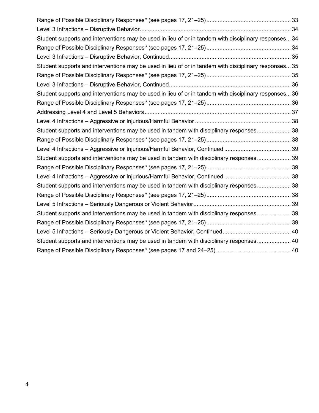| Student supports and interventions may be used in lieu of or in tandem with disciplinary responses 34 |  |
|-------------------------------------------------------------------------------------------------------|--|
|                                                                                                       |  |
|                                                                                                       |  |
| Student supports and interventions may be used in lieu of or in tandem with disciplinary responses 35 |  |
|                                                                                                       |  |
|                                                                                                       |  |
| Student supports and interventions may be used in lieu of or in tandem with disciplinary responses 36 |  |
|                                                                                                       |  |
|                                                                                                       |  |
|                                                                                                       |  |
| Student supports and interventions may be used in tandem with disciplinary responses 38               |  |
|                                                                                                       |  |
|                                                                                                       |  |
| Student supports and interventions may be used in tandem with disciplinary responses 39               |  |
|                                                                                                       |  |
|                                                                                                       |  |
| Student supports and interventions may be used in tandem with disciplinary responses 38               |  |
|                                                                                                       |  |
|                                                                                                       |  |
| Student supports and interventions may be used in tandem with disciplinary responses 39               |  |
|                                                                                                       |  |
|                                                                                                       |  |
| Student supports and interventions may be used in tandem with disciplinary responses 40               |  |
|                                                                                                       |  |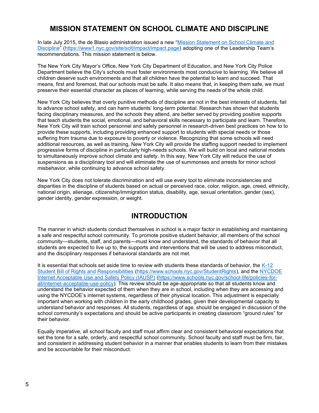# **MISSION STATEMENT ON SCHOOL CLIMATE AND DISCIPLINE**

<span id="page-5-0"></span>In late July 2015, the de Blasio administration issued a new "[Mission Statement on School Climate and](https://www1.nyc.gov/site/sclt/impact/impact.page) [Discipline](https://www1.nyc.gov/site/sclt/impact/impact.page)" (<https://www1.nyc.gov/site/sclt/impact/impact.page>) adopting one of the Leadership Team's recommendations. This mission statement is below.

The New York City Mayor's Office, New York City Department of Education, and New York City Police Department believe the City's schools must foster environments most conducive to learning. We believe all children deserve such environments and that all children have the potential to learn and succeed. That means, first and foremost, that our schools must be safe. It also means that, in keeping them safe, we must preserve their essential character as places of learning, while serving the needs of the whole child.

New York City believes that overly punitive methods of discipline are not in the best interests of students, fail to advance school safety, and can harm students' long-term potential. Research has shown that students facing disciplinary measures, and the schools they attend, are better served by providing positive supports that teach students the social, emotional, and behavioral skills necessary to participate and learn. Therefore, New York City will train school personnel and safety personnel in research-driven best practices on how to to provide these supports, including providing enhanced support to students with special needs or those suffering from trauma due to exposure to poverty or violence. Recognizing that some schools will need additional resources, as well as training, New York City will provide the staffing support needed to implement progressive forms of discipline in particularly high-needs schools. We will build on local and national models to simultaneously improve school climate and safety. In this way, New York City will reduce the use of suspensions as a disciplinary tool and will eliminate the use of summonses and arrests for minor school misbehavior, while continuing to advance school safety.

New York City does not tolerate discrimination and will use every tool to eliminate inconsistencies and disparities in the discipline of students based on actual or perceived race, color, religion, age, creed, ethnicity, national origin, alienage, citizenship/immigration status, disability, age, sexual orientation, gender (sex), gender identity, gender expression, or weight.

# **INTRODUCTION**

<span id="page-5-1"></span>The manner in which students conduct themselves in school is a major factor in establishing and maintaining a safe and respectful school community. To promote positive student behavior, all members of the school community—students, staff, and parents—must know and understand, the standards of behavior that all students are expected to live up to, the supports and interventions that will be used to address misconduct, and the disciplinary responses if behavioral standards are not met.

It is essential that schools set aside time to review with students these standards of behavior, the [K-12](https://www.schools.nyc.gov/StudentRights) [Student Bill of Rights and Responsibilities](https://www.schools.nyc.gov/StudentRights) [\(https://www.schools.nyc.gov/StudentRights\)](https://www.schools.nyc.gov/StudentRights), and the [NYCDOE](https://nycdoe.sharepoint.com/sites/D-CodePhaseone/Shared%20Documents/D-Code%20Revisions%20%26%20Recommendations/Stage%201%20-%20Summer%202019/NYCDOE%20Internet%20Acceptable%20Use%20and%20Safety%20Policy%20(IAUSP)) [Internet Acceptable Use and Safety Policy \(IAUSP\)](https://nycdoe.sharepoint.com/sites/D-CodePhaseone/Shared%20Documents/D-Code%20Revisions%20%26%20Recommendations/Stage%201%20-%20Summer%202019/NYCDOE%20Internet%20Acceptable%20Use%20and%20Safety%20Policy%20(IAUSP)) [\(https://www.schools.nyc.gov/school-life/policies-for](https://www.schools.nyc.gov/school-life/policies-for-all/internet-acceptable-use-policy)[all/internet-acceptable-use-policy\)](https://www.schools.nyc.gov/school-life/policies-for-all/internet-acceptable-use-policy). This review should be age-appropriate so that all students know and understand the behavior expected of them when they are in school, including when they are accessing and using the NYCDOE's internet systems, regardless of their physical location. This adjustment is especially important when working with children in the early childhood grades, given their developmental capacity to understand behavior and responses. All students, regardless of age, should be engaged in discussion of the school community's expectations and should be active participants in creating classroom "ground rules" for their behavior.

Equally imperative, all school faculty and staff must affirm clear and consistent behavioral expectations that set the tone for a safe, orderly, and respectful school community. School faculty and staff must be firm, fair, and consistent in addressing student behavior in a manner that enables students to learn from their mistakes and be accountable for their misconduct.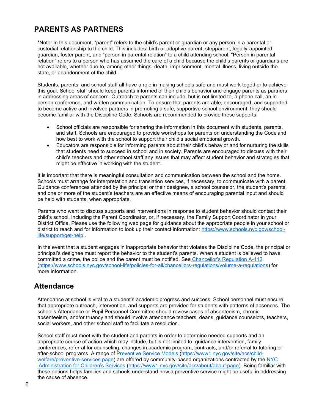# <span id="page-6-0"></span>**PARENTS AS PARTNERS**

\*Note: In this document, "parent" refers to the child's parent or guardian or any person in a parental or custodial relationship to the child. This includes: birth or adoptive parent, stepparent, legally-appointed guardian, foster parent, and "person in parental relation" to a child attending school. "Person in parental relation" refers to a person who has assumed the care of a child because the child's parents or guardians are not available, whether due to, among other things, death, imprisonment, mental illness, living outside the state, or abandonment of the child.

Students, parents, and school staff all have a role in making schools safe and must work together to achieve this goal. School staff should keep parents informed of their child's behavior and engage parents as partners in addressing areas of concern. Outreach to parents can include, but is not limited to, a phone call, an inperson conference, and written communication. To ensure that parents are able, encouraged, and supported to become active and involved partners in promoting a safe, supportive school environment, they should become familiar with the Discipline Code. Schools are recommended to provide these supports:

- School officials are responsible for sharing the information in this document with students, parents, and staff. Schools are encouraged to provide workshops for parents on understanding the Code and how best to work with the school to support their child's social emotional growth.
- Educators are responsible for informing parents about their child's behavior and for nurturing the skills that students need to succeed in school and in society. Parents are encouraged to discuss with their child's teachers and other school staff any issues that may affect student behavior and strategies that might be effective in working with the student.

It is important that there is meaningful consultation and communication between the school and the home. Schools must arrange for interpretation and translation services, if necessary, to communicate with a parent. Guidance conferences attended by the principal or their designee, a school counselor, the student's parents, and one or more of the student's teachers are an effective means of encouraging parental input and should be held with students, when appropriate.

Parents who want to discuss supports and interventions in response to student behavior should contact their child's school, including the Parent Coordinator, or, if necessary, the Family Support Coordinator in your District Office. Please use the following web page for guidance about the appropriate people in your school or district to reach and for information to look up their contact information: [https://www.schools.nyc.gov/school](https://www.schools.nyc.gov/school-life/support/get-help)[life/support/get-help](https://www.schools.nyc.gov/school-life/support/get-help) .

In the event that a student engages in inappropriate behavior that violates the Discipline Code, the principal or principal's designee must report the behavior to the student's parents. When a student is believed to have committed a crime, the police and the parent must be notified. See [Chancellor's Regulation A](https://nycdoe.sharepoint.com/sites/D-CodePhaseone/Shared%20Documents/D-Code%20Revisions%20%26%20Recommendations/Stage%201%20-%20Summer%202019/Chancellor%27s%20Regulation%20A-412)-412 [\(https://www.schools.nyc.gov/school-life/policies-for-all/chancellors-regulations/volume-a-regulations\)](https://www.schools.nyc.gov/school-life/policies-for-all/chancellors-regulations/volume-a-regulations) for more information.

# <span id="page-6-1"></span>**Attendance**

Attendance at school is vital to a student's academic progress and success. School personnel must ensure that appropriate outreach, intervention, and supports are provided for students with patterns of absences. The school's Attendance or Pupil Personnel Committee should review cases of absenteeism, chronic absenteeism, and/or truancy and should involve attendance teachers, deans, guidance counselors, teachers, social workers, and other school staff to facilitate a resolution.

School staff must meet with the student and parents in order to determine needed supports and an appropriate course of action which may include, but is not limited to: guidance intervention, family conferences, referral for counseling, changes in academic program, contracts, and/or referral to tutoring or after-school programs. A range of [Preventive Service Models \(https://www1.nyc.gov/site/acs/child](https://www1.nyc.gov/site/acs/child-welfare/preventive-services.page)[welfare/preventive-services.page\)](https://www1.nyc.gov/site/acs/child-welfare/preventive-services.page) are offered by community-based organizations contracted by the [NYC](https://nycdoe.sharepoint.com/sites/D-CodePhaseone/Shared%20Documents/D-Code%20Revisions%20%26%20Recommendations/Stage%201%20-%20Summer%202019/NYC%20Administration%20for%20Children%27s%20Services) [Administration for Children's Services](https://nycdoe.sharepoint.com/sites/D-CodePhaseone/Shared%20Documents/D-Code%20Revisions%20%26%20Recommendations/Stage%201%20-%20Summer%202019/NYC%20Administration%20for%20Children%27s%20Services) [\(https://www1.nyc.gov/site/acs/about/about.page\)](https://www1.nyc.gov/site/acs/about/about.page). Being familiar with these options helps families and schools understand how a preventive service might be useful in addressing the cause of absence.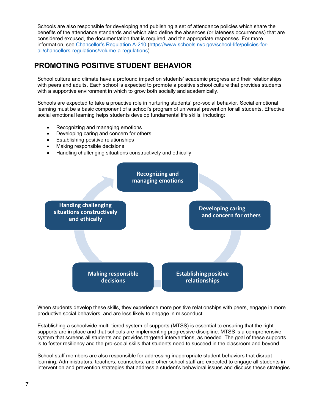Schools are also responsible for developing and publishing a set of attendance policies which share the benefits of the attendance standards and which also define the absences (or lateness occurrences) that are considered excused, the documentation that is required, and the appropriate responses. For more information, see [Chancellor's Regulation A](https://www.schools.nyc.gov/school-life/policies-for-all/chancellors-regulations/volume-a-regulations)-210 [\(https://www.schools.nyc.gov/school-life/policies-for](https://www.schools.nyc.gov/school-life/policies-for-all/chancellors-regulations/volume-a-regulations)[all/chancellors-regulations/volume-a-regulations\)](https://www.schools.nyc.gov/school-life/policies-for-all/chancellors-regulations/volume-a-regulations).

# <span id="page-7-0"></span>**PROMOTING POSITIVE STUDENT BEHAVIOR**

School culture and climate have a profound impact on students' academic progress and their relationships with peers and adults. Each school is expected to promote a positive school culture that provides students with a supportive environment in which to grow both socially and academically.

Schools are expected to take a proactive role in nurturing students' pro-social behavior. Social emotional learning must be a basic component of a school's program of universal prevention for all students. Effective social emotional learning helps students develop fundamental life skills, including:

- Recognizing and managing emotions
- Developing caring and concern for others
- Establishing positive relationships
- Making responsible decisions
- Handling challenging situations constructively and ethically



When students develop these skills, they experience more positive relationships with peers, engage in more productive social behaviors, and are less likely to engage in misconduct.

Establishing a schoolwide multi-tiered system of supports (MTSS) is essential to ensuring that the right supports are in place and that schools are implementing progressive discipline. MTSS is a comprehensive system that screens all students and provides targeted interventions, as needed. The goal of these supports is to foster resiliency and the pro-social skills that students need to succeed in the classroom and beyond.

School staff members are also responsible for addressing inappropriate student behaviors that disrupt learning. Administrators, teachers, counselors, and other school staff are expected to engage all students in intervention and prevention strategies that address a student's behavioral issues and discuss these strategies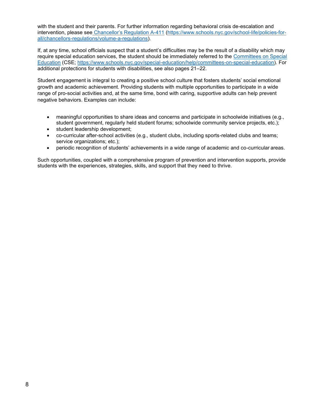with the student and their parents. For further information regarding behavioral crisis de-escalation and intervention, please see [Chancellor's Regulation](https://www.schools.nyc.gov/school-life/policies-for-all/chancellors-regulations/volume-a-regulations) A-411 [\(https://www.schools.nyc.gov/school-life/policies-for](https://www.schools.nyc.gov/school-life/policies-for-all/chancellors-regulations/volume-a-regulations)[all/chancellors-regulations/volume-a-regulations\)](https://www.schools.nyc.gov/school-life/policies-for-all/chancellors-regulations/volume-a-regulations).

If, at any time, school officials suspect that a student's difficulties may be the result of a disability which may require special education services, the student should be immediately referred to the [Committees on Special](https://www.schools.nyc.gov/special-education/help/committees-on-special-education)) [Education](https://www.schools.nyc.gov/special-education/help/committees-on-special-education)) (CSE; [https://www.schools.nyc.gov/special-education/help/committees-on-special-education\)](https://www.schools.nyc.gov/special-education/help/committees-on-special-education). For additional protections for students with disabilities, see also pages 21–22.

Student engagement is integral to creating a positive school culture that fosters students' social emotional growth and academic achievement. Providing students with multiple opportunities to participate in a wide range of pro-social activities and, at the same time, bond with caring, supportive adults can help prevent negative behaviors. Examples can include:

- meaningful opportunities to share ideas and concerns and participate in schoolwide initiatives (e.g., student government, regularly held student forums; schoolwide community service projects, etc.);
- student leadership development;
- co-curricular after-school activities (e.g., student clubs, including sports-related clubs and teams; service organizations; etc.);
- periodic recognition of students' achievements in a wide range of academic and co-curricular areas.

Such opportunities, coupled with a comprehensive program of prevention and intervention supports, provide students with the experiences, strategies, skills, and support that they need to thrive.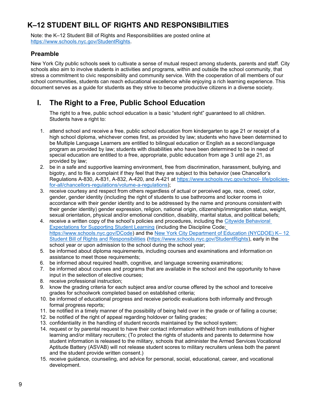# <span id="page-9-0"></span>**K–12 STUDENT BILL OF RIGHTS AND RESPONSIBILITIES**

Note: the K–12 Student Bill of Rights and Responsibilities are posted online at [https://www.schools.nyc.gov/StudentRights.](https://www.schools.nyc.gov/StudentRights)

# **Preamble**

New York City public schools seek to cultivate a sense of mutual respect among students, parents and staff. City schools also aim to involve students in activities and programs, within and outside the school community, that stress a commitment to civic responsibility and community service. With the cooperation of all members of our school communities, students can reach educational excellence while enjoying a rich learning experience. This document serves as a guide for students as they strive to become productive citizens in a diverse society.

# <span id="page-9-1"></span>**I. The Right to a Free, Public School Education**

The right to a free, public school education is a basic "student right" guaranteed to all children. Students have a right to:

- 1. attend school and receive a free, public school education from kindergarten to age 21 or receipt of a high school diploma, whichever comes first, as provided by law; students who have been determined to be Multiple Language Learners are entitled to bilingual education or English as a second language program as provided by law; students with disabilities who have been determined to be in need of special education are entitled to a free, appropriate, public education from age 3 until age 21, as provided by law;
- 2. be in a safe and supportive learning environment, free from discrimination, harassment, bullying, and bigotry, and to file a complaint if they feel that they are subject to this behavior (see Chancellor's Regulations A-830, A-831, A-832, A-420, and A-421 at [https://www.schools.nyc.gov/school-](https://www.schools.nyc.gov/school-life/policies-for-all/chancellors-regulations/volume-a-regulations) [life/policies](https://www.schools.nyc.gov/school-life/policies-for-all/chancellors-regulations/volume-a-regulations)[for-all/chancellors-regulations/volume-a-regulations\)](https://www.schools.nyc.gov/school-life/policies-for-all/chancellors-regulations/volume-a-regulations);
- 3. receive courtesy and respect from others regardless of actual or perceived age, race, creed, color, gender, gender identity (including the right of students to use bathrooms and locker rooms in accordance with their gender identity and to be addressed by the name and pronouns consistent with their gender identity) gender expression, religion, national origin, citizenship/immigration status, weight, sexual orientation, physical and/or emotional condition, disability, marital status, and political beliefs;
- 4. receive a written copy of the school's policies and procedures, including the [Citywide Behavioral](https://www.schools.nyc.gov/DCode) [Expectations for Supporting Student Learning](https://www.schools.nyc.gov/DCode) (including the Discipline Code[;](https://www.schools.nyc.gov/DCode) [https://www.schools.nyc.gov/DCode\)](https://www.schools.nyc.gov/DCode) and the [New York City Department of Education \(NYCDOE\) K](https://www.schools.nyc.gov/StudentRights)– [12](https://www.schools.nyc.gov/StudentRights) [Student Bill of Rights and Responsibilities](https://www.schools.nyc.gov/StudentRights) [\(https://www.schools.nyc.gov/StudentRights\)](https://www.schools.nyc.gov/StudentRights), early in the school year or upon admission to the school during the school year;
- 5. be informed about diploma requirements, including courses and examinations and information on assistance to meet those requirements;
- 6. be informed about required health, cognitive, and language screening examinations;
- 7. be informed about courses and programs that are available in the school and the opportunity to have input in the selection of elective courses;
- 8. receive professional instruction;
- 9. know the grading criteria for each subject area and/or course offered by the school and to receive grades for schoolwork completed based on established criteria;
- 10. be informed of educational progress and receive periodic evaluations both informally and through formal progress reports;
- 11. be notified in a timely manner of the possibility of being held over in the grade or of failing a course;
- 12. be notified of the right of appeal regarding holdover or failing grades;
- 13. confidentiality in the handling of student records maintained by the school system;
- 14. request or by parental request to have their contact information withheld from institutions of higher learning and/or military recruiters; (To protect the rights of students and parents to determine how student information is released to the military, schools that administer the Armed Services Vocational Aptitude Battery (ASVAB) will not release student scores to military recruiters unless both the parent and the student provide written consent.)
- 15. receive guidance, counseling, and advice for personal, social, educational, career, and vocational development.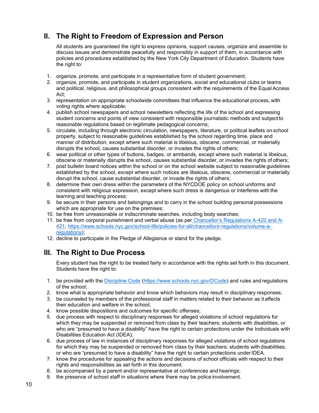# <span id="page-10-0"></span>**II. The Right to Freedom of Expression and Person**

All students are guaranteed the right to express opinions, support causes, organize and assemble to discuss issues and demonstrate peacefully and responsibly in support of them, in accordance with policies and procedures established by the New York City Department of Education. Students have the right to:

- 1. organize, promote, and participate in a representative form of student government;
- 2. organize, promote, and participate in student organizations, social and educational clubs or teams and political, religious, and philosophical groups consistent with the requirements of the Equal Access Act;
- 3. representation on appropriate schoolwide committees that influence the educational process, with voting rights where applicable;
- 4. publish school newspapers and school newsletters reflecting the life of the school and expressing student concerns and points of view consistent with responsible journalistic methods and subject to reasonable regulations based on legitimate pedagogical concerns;
- 5. circulate, including through electronic circulation, newspapers, literature, or political leaflets on school property, subject to reasonable guidelines established by the school regarding time, place and manner of distribution, except where such material is libelous, obscene, commercial, or materially disrupts the school, causes substantial disorder, or invades the rights of others;
- 6. wear political or other types of buttons, badges, or armbands, except where such material is libelous, obscene or materially disrupts the school, causes substantial disorder, or invades the rights of others;
- 7. post bulletin board notices within the school or on the school website subject to reasonable guidelines established by the school, except where such notices are libelous, obscene, commercial or materially disrupt the school, cause substantial disorder, or invade the rights of others;
- 8. determine their own dress within the parameters of the NYCDOE policy on school uniforms and consistent with religious expression, except where such dress is dangerous or interferes with the learning and teaching process;
- 9. be secure in their persons and belongings and to carry in the school building personal possessions which are appropriate for use on the premises;
- 10. be free from unreasonable or indiscriminate searches, including body searches;
- 11. be free from corporal punishment and verbal abuse (as per [Chancellor's Regulations A](https://www.schools.nyc.gov/school-life/policies-for-all/chancellors-regulations/volume-a-regulations)-420 and A[-](https://www.schools.nyc.gov/school-life/policies-for-all/chancellors-regulations/volume-a-regulations)[421;](https://www.schools.nyc.gov/school-life/policies-for-all/chancellors-regulations/volume-a-regulations) [https://www.schools.nyc.gov/school-life/policies-for-all/chancellors-regulations/volume-a](https://www.schools.nyc.gov/school-life/policies-for-all/chancellors-regulations/volume-a-regulations)[regulations\)](https://www.schools.nyc.gov/school-life/policies-for-all/chancellors-regulations/volume-a-regulations);
- 12. decline to participate in the Pledge of Allegiance or stand for the pledge.

# <span id="page-10-1"></span>**III. The Right to Due Process**

Every student has the right to be treated fairly in accordance with the rights set forth in this document. Students have the right to:

- 1. be provided with the Discipline Code [\(https://www.schools.nyc.gov/DCode\)](https://www.schools.nyc.gov/DCode) and rules and regulations of the school;
- 2. know what is appropriate behavior and know which behaviors may result in disciplinary responses;
- 3. be counseled by members of the professional staff in matters related to their behavior as it affects their education and welfare in the school;
- 4. know possible dispositions and outcomes for specific offenses;
- 5. due process with respect to disciplinary responses for alleged violations of school regulations for which they may be suspended or removed from class by their teachers; students with disabilities, or who are "presumed to have a disability" have the right to certain protections under the Individuals with Disabilities Education Act (IDEA);
- 6. due process of law in instances of disciplinary responses for alleged violations of school regulations for which they may be suspended or removed from class by their teachers; students with disabilities, or who are "presumed to have a disability" have the right to certain protections underIDEA.
- 7. know the procedures for appealing the actions and decisions of school officials with respect to their rights and responsibilities as set forth in this document;
- 8. be accompanied by a parent and/or representative at conferences and hearings;
- 9. the presence of school staff in situations where there may be police involvement.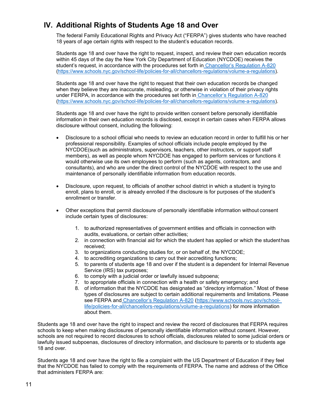# <span id="page-11-0"></span>**IV. Additional Rights of Students Age 18 and Over**

The federal Family Educational Rights and Privacy Act ("FERPA") gives students who have reached 18 years of age certain rights with respect to the student's education records.

Students age 18 and over have the right to request, inspect, and review their own education records within 45 days of the day the New York City Department of Education (NYCDOE) receives the student's request, in accordance with the procedures set forth in [Chancellor's Regulation A](https://www.schools.nyc.gov/school-life/policies-for-all/chancellors-regulations/volume-a-regulations)-820 [\(https://www.schools.nyc.gov/school-life/policies-for-all/chancellors-regulations/volume-a-regulations\)](https://www.schools.nyc.gov/school-life/policies-for-all/chancellors-regulations/volume-a-regulations).

Students age 18 and over have the right to request that their own education records be changed when they believe they are inaccurate, misleading, or otherwise in violation of their privacy rights under FERPA, in accordance with the procedures set forth in [Chancellor's Regulation A](https://www.schools.nyc.gov/school-life/policies-for-all/chancellors-regulations/volume-a-regulations)-820 [\(https://www.schools.nyc.gov/school-life/policies-for-all/chancellors-regulations/volume-a-regulations\)](https://www.schools.nyc.gov/school-life/policies-for-all/chancellors-regulations/volume-a-regulations).

Students age 18 and over have the right to provide written consent before personally identifiable information in their own education records is disclosed, except in certain cases when FERPA allows disclosure without consent, including the following:

- Disclosure to a school official who needs to review an education record in order to fulfill his or her professional responsibility. Examples of school officials include people employed by the NYCDOE(such as administrators, supervisors, teachers, other instructors, or support staff members), as well as people whom NYCDOE has engaged to perform services or functions it would otherwise use its own employees to perform (such as agents, contractors, and consultants), and who are under the direct control of the NYCDOE with respect to the use and maintenance of personally identifiable information from education records.
- Disclosure, upon request, to officials of another school district in which a student is trying to enroll, plans to enroll, or is already enrolled if the disclosure is for purposes of the student's enrollment or transfer.
- Other exceptions that permit disclosure of personally identifiable information without consent include certain types of disclosures:
	- 1. to authorized representatives of government entities and officials in connection with audits, evaluations, or certain other activities;
	- 2. in connection with financial aid for which the student has applied or which the student has received;
	- 3. to organizations conducting studies for, or on behalf of, the NYCDOE;
	- 4. to accrediting organizations to carry out their accrediting functions;
	- 5. to parents of students age 18 and over if the student is a dependent for Internal Revenue Service (IRS) tax purposes;
	- 6. to comply with a judicial order or lawfully issued subpoena;
	- 7. to appropriate officials in connection with a health or safety emergency; and
	- 8. of information that the NYCDOE has designated as "directory information." Most of these types of disclosures are subject to certain additional requirements and limitations. Please see FERPA and Chancellor's [Regulation A-820](https://www.schools.nyc.gov/school-life/policies-for-all/chancellors-regulations/volume-a-regulations) [\(https://www.schools.nyc.gov/school](https://www.schools.nyc.gov/school-life/policies-for-all/chancellors-regulations/volume-a-regulations)[life/policies-for-all/chancellors-regulations/volume-a-regulations\)](https://www.schools.nyc.gov/school-life/policies-for-all/chancellors-regulations/volume-a-regulations) for more information about them.

Students age 18 and over have the right to inspect and review the record of disclosures that FERPA requires schools to keep when making disclosures of personally identifiable information without consent. However, schools are not required to record disclosures to school officials, disclosures related to some judicial orders or lawfully issued subpoenas, disclosures of directory information, and disclosure to parents or to students age 18 and over.

Students age 18 and over have the right to file a complaint with the US Department of Education if they feel that the NYCDOE has failed to comply with the requirements of FERPA. The name and address of the Office that administers FERPA are: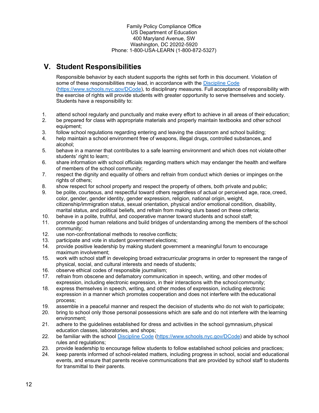Family Policy Compliance Office US Department of Education 400 Maryland Avenue, SW Washington, DC 20202-5920 Phone: 1-800-USA-LEARN (1-800-872-5327)

# <span id="page-12-0"></span>**V. Student Responsibilities**

Responsible behavior by each student supports the rights set forth in this document. Violation of some of these responsibilities may lead, in accordance with the Discipline Code [\(https://www.schools.nyc.gov/DCode\)](https://www.schools.nyc.gov/DCode), to disciplinary measures. Full acceptance of responsibility with the exercise of rights will provide students with greater opportunity to serve themselves and society. Students have a responsibility to:

- 1. attend school regularly and punctually and make every effort to achieve in all areas of their education;
- 2. be prepared for class with appropriate materials and properly maintain textbooks and other school equipment;
- 3. follow school regulations regarding entering and leaving the classroom and school building;
- 4. help maintain a school environment free of weapons, illegal drugs, controlled substances, and alcohol;
- 5. behave in a manner that contributes to a safe learning environment and which does not violate other students' right to learn;
- 6. share information with school officials regarding matters which may endanger the health and welfare of members of the school community;
- 7. respect the dignity and equality of others and refrain from conduct which denies or impinges on the rights of others;
- 8. show respect for school property and respect the property of others, both private and public;
- 9. be polite, courteous, and respectful toward others regardless of actual or perceived age, race, creed, color, gender, gender identity, gender expression, religion, national origin, weight, citizenship/immigration status, sexual orientation, physical and/or emotional condition, disability, marital status, and political beliefs, and refrain from making slurs based on these criteria;
- 10. behave in a polite, truthful, and cooperative manner toward students and school staff;
- 11. promote good human relations and build bridges of understanding among the members of the school community;
- 12. use non-confrontational methods to resolve conflicts;
- 13. participate and vote in student government elections;
- 14. provide positive leadership by making student government a meaningful forum to encourage maximum involvement;
- 15. work with school staff in developing broad extracurricular programs in order to represent the range of physical, social, and cultural interests and needs of students;
- 16. observe ethical codes of responsible journalism;
- 17. refrain from obscene and defamatory communication in speech, writing, and other modes of expression, including electronic expression, in their interactions with the school community;
- 18. express themselves in speech, writing, and other modes of expression, including electronic expression in a manner which promotes cooperation and does not interfere with the educational process;
- 19. assemble in a peaceful manner and respect the decision of students who do not wish to participate;
- 20. bring to school only those personal possessions which are safe and do not interfere with the learning environment;
- 21. adhere to the guidelines established for dress and activities in the school gymnasium, physical education classes, laboratories, and shops;
- 22. be familiar with the school [Discipline Code](https://www.schools.nyc.gov/DCode) [\(https://www.schools.nyc.gov/DCode\)](https://www.schools.nyc.gov/DCode) and abide by school rules and regulations;
- 23. provide leadership to encourage fellow students to follow established school policies and practices;
- 24. keep parents informed of school-related matters, including progress in school, social and educational events, and ensure that parents receive communications that are provided by school staff to students for transmittal to their parents.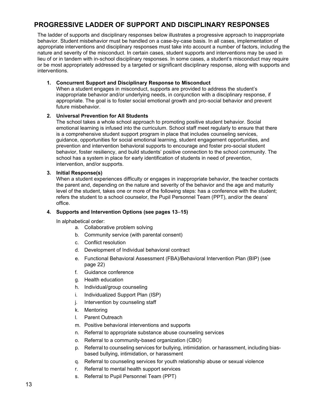# <span id="page-13-0"></span>**PROGRESSIVE LADDER OF SUPPORT AND DISCIPLINARY RESPONSES**

The ladder of supports and disciplinary responses below illustrates a progressive approach to inappropriate behavior. Student misbehavior must be handled on a case-by-case basis. In all cases, implementation of appropriate interventions and disciplinary responses must take into account a number of factors, including the nature and severity of the misconduct. In certain cases, student supports and interventions may be used in lieu of or in tandem with in-school disciplinary responses. In some cases, a student's misconduct may require or be most appropriately addressed by a targeted or significant disciplinary response, along with supports and interventions.

### <span id="page-13-1"></span>**1. Concurrent Support and Disciplinary Response to Misconduct**

When a student engages in misconduct, supports are provided to address the student's inappropriate behavior and/or underlying needs, in conjunction with a disciplinary response, if appropriate. The goal is to foster social emotional growth and pro-social behavior and prevent future misbehavior.

### <span id="page-13-2"></span>**2. Universal Prevention for All Students**

The school takes a whole school approach to promoting positive student behavior. Social emotional learning is infused into the curriculum. School staff meet regularly to ensure that there is a comprehensive student support program in place that includes counseling services, guidance, opportunities for social emotional learning, student engagement opportunities, and prevention and intervention behavioral supports to encourage and foster pro-social student behavior, foster resiliency, and build students' positive connection to the school community. The school has a system in place for early identification of students in need of prevention, intervention, and/or supports.

### <span id="page-13-3"></span>**3. Initial Response(s)**

When a student experiences difficulty or engages in inappropriate behavior, the teacher contacts the parent and, depending on the nature and severity of the behavior and the age and maturity level of the student, takes one or more of the following steps: has a conference with the student; refers the student to a school counselor, the Pupil Personnel Team (PPT), and/or the deans' office.

### <span id="page-13-4"></span>**4. Supports and Intervention Options (see pages 13**–**15)**

In alphabetical order:

- a. Collaborative problem solving
- b. Community service (with parental consent)
- c. Conflict resolution
- d. Development of Individual behavioral contract
- e. Functional Behavioral Assessment (FBA)/Behavioral Intervention Plan (BIP) (see page 22)
- f. Guidance conference
- g. Health education
- h. Individual/group counseling
- i. Individualized Support Plan (ISP)
- j. Intervention by counseling staff
- k. Mentoring
- l. Parent Outreach
- m. Positive behavioral interventions and supports
- n. Referral to appropriate substance abuse counseling services
- o. Referral to a community-based organization (CBO)
- p. Referral to counseling services for bullying, intimidation. or harassment, including biasbased bullying, intimidation, or harassment
- q. Referral to counseling services for youth relationship abuse or sexual violence
- r. Referral to mental health support services
- s. Referral to Pupil Personnel Team (PPT)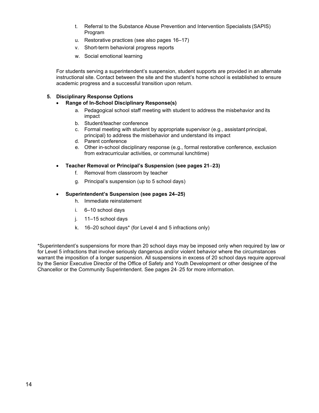- t. Referral to the Substance Abuse Prevention and Intervention Specialists (SAPIS) Program
- u. Restorative practices (see also pages 16–17)
- v. Short-term behavioral progress reports
- w. Social emotional learning

For students serving a superintendent's suspension, student supports are provided in an alternate instructional site. Contact between the site and the student's home school is established to ensure academic progress and a successful transition upon return.

# <span id="page-14-0"></span>**5. Disciplinary Response Options**

# • **Range of In-School Disciplinary Response(s)**

- a. Pedagogical school staff meeting with student to address the misbehavior and its impact
- b. Student/teacher conference
- c. Formal meeting with student by appropriate supervisor (e.g., assistant principal, principal) to address the misbehavior and understand its impact
- d. Parent conference
- e. Other in-school disciplinary response (e.g., formal restorative conference, exclusion from extracurricular activities, or communal lunchtime)
- <span id="page-14-1"></span>• **Teacher Removal or Principal's Suspension (see pages 21**–**23)**
	- f. Removal from classroom by teacher
	- g. Principal's suspension (up to 5 school days)

### <span id="page-14-2"></span>• **Superintendent's Suspension (see pages 24–25)**

- h. Immediate reinstatement
- i. 6–10 school days
- j. 11–15 school days
- k. 16–20 school days\* (for Level 4 and 5 infractions only)

\*Superintendent's suspensions for more than 20 school days may be imposed only when required by law or for Level 5 infractions that involve seriously dangerous and/or violent behavior where the circumstances warrant the imposition of a longer suspension. All suspensions in excess of 20 school days require approval by the Senior Executive Director of the Office of Safety and Youth Development or other designee of the Chancellor or the Community Superintendent. See pages 24–25 for more information.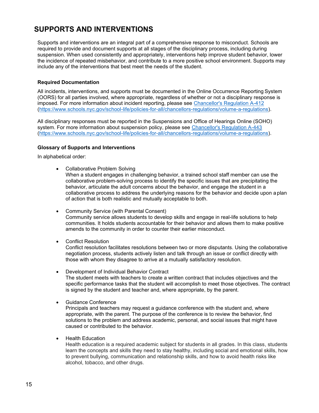# <span id="page-15-0"></span>**SUPPORTS AND INTERVENTIONS**

Supports and interventions are an integral part of a comprehensive response to misconduct. Schools are required to provide and document supports at all stages of the disciplinary process, including during suspension. When used consistently and appropriately, interventions help improve student behavior, lower the incidence of repeated misbehavior, and contribute to a more positive school environment. Supports may include any of the interventions that best meet the needs of the student.

### <span id="page-15-1"></span>**Required Documentation**

All incidents, interventions, and supports must be documented in the Online Occurrence Reporting System (OORS) for all parties involved, where appropriate, regardless of whether or not a disciplinary response is imposed. For more information about incident reporting, please see [Chancellor's Regulation A-412](https://nycdoe.sharepoint.com/sites/D-CodePhaseone/Shared%20Documents/D-Code%20Revisions%20%26%20Recommendations/Stage%201%20-%20Summer%202019/Chancellor%27s%20Regulation%20A-412) [\(https://www.schools.nyc.gov/school-life/policies-for-all/chancellors-regulations/volume-a-regulations\)](https://www.schools.nyc.gov/school-life/policies-for-all/chancellors-regulations/volume-a-regulations).

All disciplinary responses must be reported in the Suspensions and Office of Hearings Online (SOHO) system. For more information about suspension policy, please see [Chancellor's Regulation A-443](https://www.schools.nyc.gov/school-life/policies-for-all/chancellors-regulations/volume-a-regulations) [\(https://www.schools.nyc.gov/school-life/policies-for-all/chancellors-regulations/volume-a-regulations\)](https://www.schools.nyc.gov/school-life/policies-for-all/chancellors-regulations/volume-a-regulations).

### <span id="page-15-2"></span>**Glossary of Supports and Interventions**

In alphabetical order:

• Collaborative Problem Solving

When a student engages in challenging behavior, a trained school staff member can use the collaborative problem-solving process to identify the specific issues that are precipitating the behavior, articulate the adult concerns about the behavior, and engage the student in a collaborative process to address the underlying reasons for the behavior and decide upon a plan of action that is both realistic and mutually acceptable to both.

- Community Service (with Parental Consent) Community service allows students to develop skills and engage in real-life solutions to help communities. It holds students accountable for their behavior and allows them to make positive amends to the community in order to counter their earlier misconduct.
- Conflict Resolution

Conflict resolution facilitates resolutions between two or more disputants. Using the collaborative negotiation process, students actively listen and talk through an issue or conflict directly with those with whom they disagree to arrive at a mutually satisfactory resolution.

- Development of Individual Behavior Contract The student meets with teachers to create a written contract that includes objectives and the specific performance tasks that the student will accomplish to meet those objectives. The contract is signed by the student and teacher and, where appropriate, by the parent.
- Guidance Conference

Principals and teachers may request a guidance conference with the student and, where appropriate, with the parent. The purpose of the conference is to review the behavior, find solutions to the problem and address academic, personal, and social issues that might have caused or contributed to the behavior.

• Health Education

Health education is a required academic subject for students in all grades. In this class, students learn the concepts and skills they need to stay healthy, including social and emotional skills, how to prevent bullying, communication and relationship skills, and how to avoid health risks like alcohol, tobacco, and other drugs.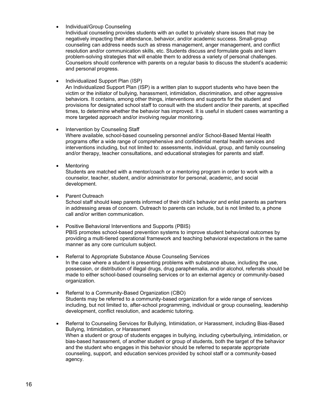• Individual/Group Counseling

Individual counseling provides students with an outlet to privately share issues that may be negatively impacting their attendance, behavior, and/or academic success. Small-group counseling can address needs such as stress management, anger management, and conflict resolution and/or communication skills, etc. Students discuss and formulate goals and learn problem-solving strategies that will enable them to address a variety of personal challenges. Counselors should conference with parents on a regular basis to discuss the student's academic and personal progress.

• Individualized Support Plan (ISP)

An Individualized Support Plan (ISP) is a written plan to support students who have been the victim or the initiator of bullying, harassment, intimidation, discrimination, and other aggressive behaviors. It contains, among other things, interventions and supports for the student and provisions for designated school staff to consult with the student and/or their parents, at specified times, to determine whether the behavior has improved. It is useful in student cases warranting a more targeted approach and/or involving regular monitoring.

• Intervention by Counseling Staff

Where available, school-based counseling personnel and/or School-Based Mental Health programs offer a wide range of comprehensive and confidential mental health services and interventions including, but not limited to: assessments, individual, group, and family counseling and/or therapy, teacher consultations, and educational strategies for parents and staff.

**Mentoring** 

Students are matched with a mentor/coach or a mentoring program in order to work with a counselor, teacher, student, and/or administrator for personal, academic, and social development.

• Parent Outreach

School staff should keep parents informed of their child's behavior and enlist parents as partners in addressing areas of concern. Outreach to parents can include, but is not limited to, a phone call and/or written communication.

- Positive Behavioral Interventions and Supports (PBIS) PBIS promotes school-based prevention systems to improve student behavioral outcomes by providing a multi-tiered operational framework and teaching behavioral expectations in the same manner as any core curriculum subject.
- Referral to Appropriate Substance Abuse Counseling Services In the case where a student is presenting problems with substance abuse, including the use, possession, or distribution of illegal drugs, drug paraphernalia, and/or alcohol, referrals should be made to either school-based counseling services or to an external agency or community-based organization.
- Referral to a Community-Based Organization (CBO) Students may be referred to a community-based organization for a wide range of services including, but not limited to, after-school programming, individual or group counseling, leadership development, conflict resolution, and academic tutoring.
- Referral to Counseling Services for Bullying, Intimidation, or Harassment, including Bias-Based Bullying, Intimidation, or Harassment When a student or group of students engages in bullying, including cyberbullying, intimidation, or bias-based harassment, of another student or group of students, both the target of the behavior and the student who engages in this behavior should be referred to separate appropriate counseling, support, and education services provided by school staff or a community-based agency.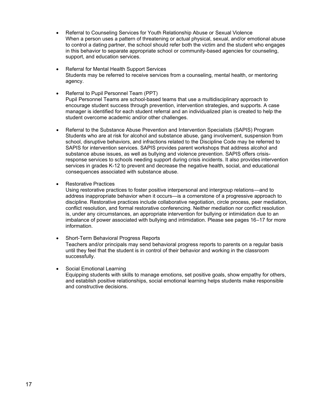- Referral to Counseling Services for Youth Relationship Abuse or Sexual Violence When a person uses a pattern of threatening or actual physical, sexual, and/or emotional abuse to control a dating partner, the school should refer both the victim and the student who engages in this behavior to separate appropriate school or community-based agencies for counseling, support, and education services.
- Referral for Mental Health Support Services Students may be referred to receive services from a counseling, mental health, or mentoring agency.
- Referral to Pupil Personnel Team (PPT) Pupil Personnel Teams are school-based teams that use a multidisciplinary approach to encourage student success through prevention, intervention strategies, and supports. A case manager is identified for each student referral and an individualized plan is created to help the student overcome academic and/or other challenges.
- Referral to the Substance Abuse Prevention and Intervention Specialists (SAPIS) Program Students who are at risk for alcohol and substance abuse, gang involvement, suspension from school, disruptive behaviors, and infractions related to the Discipline Code may be referred to SAPIS for intervention services. SAPIS provides parent workshops that address alcohol and substance abuse issues, as well as bullying and violence prevention. SAPIS offers crisisresponse services to schools needing support during crisis incidents. It also provides intervention services in grades K-12 to prevent and decrease the negative health, social, and educational consequences associated with substance abuse.
- Restorative Practices

Using restorative practices to foster positive interpersonal and intergroup relations—and to address inappropriate behavior when it occurs—is a cornerstone of a progressive approach to discipline. Restorative practices include collaborative negotiation, circle process, peer mediation, conflict resolution, and formal restorative conferencing. Neither mediation nor conflict resolution is, under any circumstances, an appropriate intervention for bullying or intimidation due to an imbalance of power associated with bullying and intimidation. Please see pages 16–17 for more information.

- Short-Term Behavioral Progress Reports Teachers and/or principals may send behavioral progress reports to parents on a regular basis until they feel that the student is in control of their behavior and working in the classroom successfully.
- Social Emotional Learning Equipping students with skills to manage emotions, set positive goals, show empathy for others, and establish positive relationships, social emotional learning helps students make responsible and constructive decisions.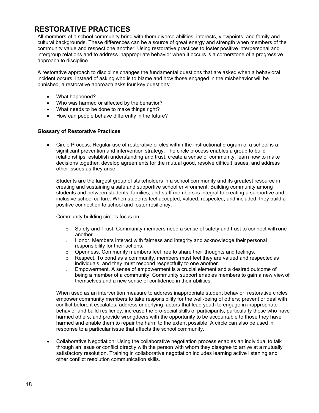# <span id="page-18-0"></span>**RESTORATIVE PRACTICES**

All members of a school community bring with them diverse abilities, interests, viewpoints, and family and cultural backgrounds. These differences can be a source of great energy and strength when members of the community value and respect one another. Using restorative practices to foster positive interpersonal and intergroup relations and to address inappropriate behavior when it occurs is a cornerstone of a progressive approach to discipline.

A restorative approach to discipline changes the fundamental questions that are asked when a behavioral incident occurs. Instead of asking who is to blame and how those engaged in the misbehavior will be punished, a restorative approach asks four key questions:

- What happened?
- Who was harmed or affected by the behavior?
- What needs to be done to make things right?
- How can people behave differently in the future?

### <span id="page-18-1"></span>**Glossary of Restorative Practices**

• Circle Process: Regular use of restorative circles within the instructional program of a school is a significant prevention and intervention strategy. The circle process enables a group to build relationships, establish understanding and trust, create a sense of community, learn how to make decisions together, develop agreements for the mutual good, resolve difficult issues, and address other issues as they arise.

Students are the largest group of stakeholders in a school community and its greatest resource in creating and sustaining a safe and supportive school environment. Building community among students and between students, families, and staff members is integral to creating a supportive and inclusive school culture. When students feel accepted, valued, respected, and included, they build a positive connection to school and foster resiliency.

Community building circles focus on:

- $\circ$  Safety and Trust. Community members need a sense of safety and trust to connect with one another.
- $\circ$  Honor. Members interact with fairness and integrity and acknowledge their personal responsibility for their actions.
- $\circ$  Openness. Community members feel free to share their thoughts and feelings.
- $\circ$  Respect. To bond as a community, members must feel they are valued and respected as individuals, and they must respond respectfully to one another.
- $\circ$  Empowerment. A sense of empowerment is a crucial element and a desired outcome of being a member of a community. Community support enables members to gain a new viewof themselves and a new sense of confidence in their abilities.

When used as an intervention measure to address inappropriate student behavior, restorative circles empower community members to take responsibility for the well-being of others; prevent or deal with conflict before it escalates; address underlying factors that lead youth to engage in inappropriate behavior and build resiliency; increase the pro-social skills of participants, particularly those who have harmed others; and provide wrongdoers with the opportunity to be accountable to those they have harmed and enable them to repair the harm to the extent possible. A circle can also be used in response to a particular issue that affects the school community.

• Collaborative Negotiation: Using the collaborative negotiation process enables an individual to talk through an issue or conflict directly with the person with whom they disagree to arrive at a mutually satisfactory resolution. Training in collaborative negotiation includes learning active listening and other conflict resolution communication skills.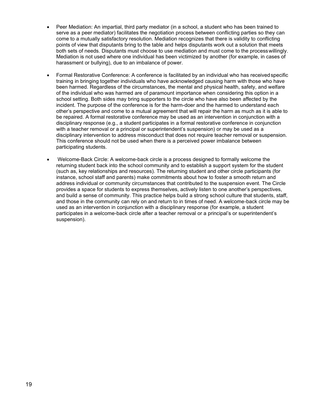- Peer Mediation: An impartial, third party mediator (in a school, a student who has been trained to serve as a peer mediator) facilitates the negotiation process between conflicting parties so they can come to a mutually satisfactory resolution. Mediation recognizes that there is validity to conflicting points of view that disputants bring to the table and helps disputants work out a solution that meets both sets of needs. Disputants must choose to use mediation and must come to the processwillingly. Mediation is not used where one individual has been victimized by another (for example, in cases of harassment or bullying), due to an imbalance of power.
- Formal Restorative Conference: A conference is facilitated by an individual who has receivedspecific training in bringing together individuals who have acknowledged causing harm with those who have been harmed. Regardless of the circumstances, the mental and physical health, safety, and welfare of the individual who was harmed are of paramount importance when considering this option in a school setting. Both sides may bring supporters to the circle who have also been affected by the incident. The purpose of the conference is for the harm-doer and the harmed to understand each other's perspective and come to a mutual agreement that will repair the harm as much as it is able to be repaired. A formal restorative conference may be used as an intervention in conjunction with a disciplinary response (e.g., a student participates in a formal restorative conference in conjunction with a teacher removal or a principal or superintendent's suspension) or may be used as a disciplinary intervention to address misconduct that does not require teacher removal or suspension. This conference should not be used when there is a perceived power imbalance between participating students.
- Welcome-Back Circle: A welcome-back circle is a process designed to formally welcome the returning student back into the school community and to establish a support system for the student (such as, key relationships and resources). The returning student and other circle participants (for instance, school staff and parents) make commitments about how to foster a smooth return and address individual or community circumstances that contributed to the suspension event. The Circle provides a space for students to express themselves, actively listen to one another's perspectives, and build a sense of community. This practice helps build a strong school culture that students, staff, and those in the community can rely on and return to in times of need. A welcome-back circle may be used as an intervention in conjunction with a disciplinary response (for example, a student participates in a welcome-back circle after a teacher removal or a principal's or superintendent's suspension).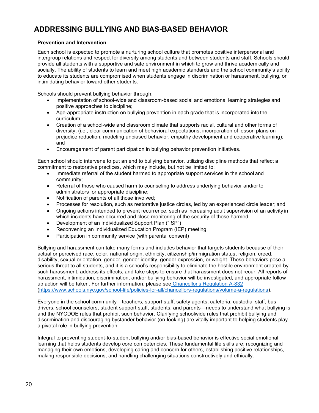# <span id="page-20-0"></span>**ADDRESSING BULLYING AND BIAS-BASED BEHAVIOR**

### <span id="page-20-1"></span>**Prevention and Intervention**

Each school is expected to promote a nurturing school culture that promotes positive interpersonal and intergroup relations and respect for diversity among students and between students and staff. Schools should provide all students with a supportive and safe environment in which to grow and thrive academically and socially. The ability of students to learn and meet high academic standards and the school community's ability to educate its students are compromised when students engage in discrimination or harassment, bullying, or intimidating behavior toward other students.

Schools should prevent bullying behavior through:

- Implementation of school-wide and classroom-based social and emotional learning strategies and positive approaches to discipline;
- Age-appropriate instruction on bullying prevention in each grade that is incorporated into the curriculum;
- Creation of a school-wide and classroom climate that supports racial, cultural and other forms of diversity, (i.e., clear communication of behavioral expectations, incorporation of lesson plans on prejudice reduction, modeling unbiased behavior, empathy development and cooperative learning); and
- Encouragement of parent participation in bullying behavior prevention initiatives.

Each school should intervene to put an end to bullying behavior, utilizing discipline methods that reflect a commitment to restorative practices, which may include, but not be limited to:

- Immediate referral of the student harmed to appropriate support services in the school and community;
- Referral of those who caused harm to counseling to address underlying behavior and/or to administrators for appropriate discipline;
- Notification of parents of all those involved;
- Processes for resolution, such as restorative justice circles, led by an experienced circle leader; and
- Ongoing actions intended to prevent recurrence, such as increasing adult supervision of an activity in which incidents have occurred and close monitoring of the security of those harmed.
- Development of an Individualized Support Plan ("ISP")
- Reconvening an Individualized Education Program (IEP) meeting
- Participation in community service (with parental consent)

Bullying and harassment can take many forms and includes behavior that targets students because of their actual or perceived race, color, national origin, ethnicity, citizenship/immigration status, religion, creed, disability, sexual orientation, gender, gender identity, gender expression, or weight. These behaviors pose a serious threat to all students, and it is a school's responsibility to eliminate the hostile environment created by such harassment, address its effects, and take steps to ensure that harassment does not recur. All reports of harassment, intimidation, discrimination, and/or bullying behavior will be investigated, and appropriate followup action will be taken. For further information, please see [Chancellor's Regulation A](https://www.schools.nyc.gov/school-life/policies-for-all/chancellors-regulations/volume-a-regulations))-832 [\(https://www.schools.nyc.gov/school-life/policies-for-all/chancellors-regulations/volume-a-regulations\)](https://www.schools.nyc.gov/school-life/policies-for-all/chancellors-regulations/volume-a-regulations).

Everyone in the school community—teachers, support staff, safety agents, cafeteria, custodial staff, bus drivers, school counselors, student support staff, students, and parents—needs to understand what bullying is and the NYCDOE rules that prohibit such behavior. Clarifying schoolwide rules that prohibit bullying and discrimination and discouraging bystander behavior (on-looking) are vitally important to helping students play a pivotal role in bullying prevention.

Integral to preventing student-to-student bullying and/or bias-based behavior is effective social emotional learning that helps students develop core competencies. These fundamental life skills are: recognizing and managing their own emotions, developing caring and concern for others, establishing positive relationships, making responsible decisions, and handling challenging situations constructively and ethically.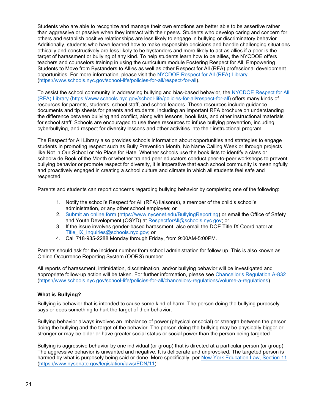Students who are able to recognize and manage their own emotions are better able to be assertive rather than aggressive or passive when they interact with their peers. Students who develop caring and concern for others and establish positive relationships are less likely to engage in bullying or discriminatory behavior. Additionally, students who have learned how to make responsible decisions and handle challenging situations ethically and constructively are less likely to be bystanders and more likely to act as allies if a peer is the target of harassment or bullying of any kind. To help students learn how to be allies, the NYCDOE offers teachers and counselors training in using the curriculum module Fostering Respect for All: Empowering Students to Move from Bystanders to Allies as well as other Respect for All (RFA) professional development opportunities. For more information, please visit the [NYCDOE Respect for All \(RFA\) Library](https://nycdoe.sharepoint.com/sites/D-CodePhaseone/Shared%20Documents/D-Code%20Revisions%20%26%20Recommendations/Stage%201%20-%20Summer%202019/NYCDOE%20Respect%20for%20All%20(RFA)%20Library) [\(https://www.schools.nyc.gov/school-life/policies-for-all/respect-for-all\)](https://www.schools.nyc.gov/school-life/policies-for-all/respect-for-all).

To assist the school community in addressing bullying and bias-based behavior, the [NYCDOE Respect for All](https://nycdoe.sharepoint.com/sites/D-CodePhaseone/Shared%20Documents/D-Code%20Revisions%20%26%20Recommendations/Stage%201%20-%20Summer%202019/NYCDOE%20Respect%20for%20All%20(RFA)%20Library) [\(RFA\) Library](https://nycdoe.sharepoint.com/sites/D-CodePhaseone/Shared%20Documents/D-Code%20Revisions%20%26%20Recommendations/Stage%201%20-%20Summer%202019/NYCDOE%20Respect%20for%20All%20(RFA)%20Library) [\(https://www.schools.nyc.gov/school-life/policies-for-all/respect-for-all\)](https://www.schools.nyc.gov/school-life/policies-for-all/respect-for-all) offers many kinds of resources for parents, students, school staff, and school leaders. These resources include guidance documents and tip sheets for parents and students, including an important RFA brochure on understanding the difference between bullying and conflict, along with lessons, book lists, and other instructional materials for school staff. Schools are encouraged to use these resources to infuse bullying prevention, including cyberbullying, and respect for diversity lessons and other activities into their instructional program.

The Respect for All Library also provides schools information about opportunities and strategies to engage students in promoting respect such as Bully Prevention Month, No Name Calling Week or through projects like Not in Our School or No Place for Hate. Whether schools use the book lists to identify a class or schoolwide Book of the Month or whether trained peer educators conduct peer-to-peer workshops to prevent bullying behavior or promote respect for diversity, it is imperative that each school community is meaningfully and proactively engaged in creating a school culture and climate in which all students feel safe and respected.

Parents and students can report concerns regarding bullying behavior by completing one of the following:

- 1. Notify the school's Respect for All (RFA) liaison(s), a member of the child's school's administration, or any other school employee; or
- 2. [Submit an online form](https://www.nycenet.edu/bullyingreporting) [\(https://www.nycenet.edu/BullyingReporting\)](https://www.nycenet.edu/BullyingReporting) or email the Office of Safety and Youth Development (OSYD) at [RespectforAll@schools.nyc.gov;](mailto:RespectforAll@schools.nyc.gov) or
- 3. If the issue involves gender-based harassment, also email the DOE Title IX Coordinator a[t](mailto:Title_IX_Inquiries@schools.nyc.gov) [Title\\_IX\\_Inquiries@schools.nyc.gov;](mailto:Title_IX_Inquiries@schools.nyc.gov) or
- 4. Call 718-935-2288 Monday through Friday, from 9:00AM-5:00PM.

Parents should ask for the incident number from school administration for follow up. This is also known as Online Occurrence Reporting System (OORS) number.

All reports of harassment, intimidation, discrimination, and/or bullying behavior will be investigated and appropriate follow-up action will be taken. For further information, please see [Chancellor's Regulation A](https://www.schools.nyc.gov/school-life/policies-for-all/chancellors-regulations/volume-a-regulations)-832 [\(https://www.schools.nyc.gov/school-life/policies-for-all/chancellors-regulations/volume-a-regulations\)](https://www.schools.nyc.gov/school-life/policies-for-all/chancellors-regulations/volume-a-regulations).

### <span id="page-21-0"></span>**What is Bullying?**

Bullying is behavior that is intended to cause some kind of harm. The person doing the bullying purposely says or does something to hurt the target of their behavior.

Bullying behavior always involves an imbalance of power (physical or social) or strength between the person doing the bullying and the target of the behavior. The person doing the bullying may be physically bigger or stronger or may be older or have greater social status or social power than the person being targeted.

Bullying is aggressive behavior by one individual (or group) that is directed at a particular person (or group). The aggressive behavior is unwanted and negative. It is deliberate and unprovoked. The targeted person is harmed by what is purposely being said or done. More specifically, per [New York Education Law, Section 11](https://www.nysenate.gov/legislation/laws/EDN/11) [\(https://www.nysenate.gov/legislation/laws/EDN/11\)](https://www.nysenate.gov/legislation/laws/EDN/11):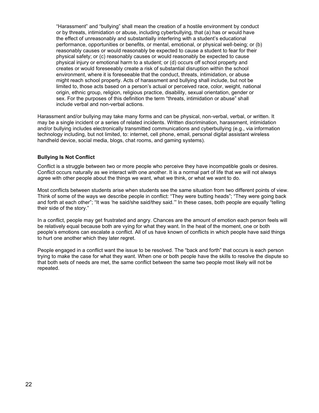"Harassment" and "bullying" shall mean the creation of a hostile environment by conduct or by threats, intimidation or abuse, including cyberbullying, that (a) has or would have the effect of unreasonably and substantially interfering with a student's educational performance, opportunities or benefits, or mental, emotional, or physical well-being; or (b) reasonably causes or would reasonably be expected to cause a student to fear for their physical safety; or (c) reasonably causes or would reasonably be expected to cause physical injury or emotional harm to a student; or (d) occurs off school property and creates or would foreseeably create a risk of substantial disruption within the school environment, where it is foreseeable that the conduct, threats, intimidation, or abuse might reach school property. Acts of harassment and bullying shall include, but not be limited to, those acts based on a person's actual or perceived race, color, weight, national origin, ethnic group, religion, religious practice, disability, sexual orientation, gender or sex. For the purposes of this definition the term "threats, intimidation or abuse" shall include verbal and non-verbal actions.

Harassment and/or bullying may take many forms and can be physical, non-verbal, verbal, or written. It may be a single incident or a series of related incidents. Written discrimination, harassment, intimidation and/or bullying includes electronically transmitted communications and cyberbullying (e.g., via information technology including, but not limited, to: internet, cell phone, email, personal digital assistant wireless handheld device, social media, blogs, chat rooms, and gaming systems).

### <span id="page-22-0"></span>**Bullying Is Not Conflict**

Conflict is a struggle between two or more people who perceive they have incompatible goals or desires. Conflict occurs naturally as we interact with one another. It is a normal part of life that we will not always agree with other people about the things we want, what we think, or what we want to do.

Most conflicts between students arise when students see the same situation from two different points of view. Think of some of the ways we describe people in conflict: "They were butting heads"; "They were going back and forth at each other"; "It was 'he said/she said/they said.'" In these cases, both people are equally "telling their side of the story."

In a conflict, people may get frustrated and angry. Chances are the amount of emotion each person feels will be relatively equal because both are vying for what they want. In the heat of the moment, one or both people's emotions can escalate a conflict. All of us have known of conflicts in which people have said things to hurt one another which they later regret.

People engaged in a conflict want the issue to be resolved. The "back and forth" that occurs is each person trying to make the case for what they want. When one or both people have the skills to resolve the dispute so that both sets of needs are met, the same conflict between the same two people most likely will not be repeated.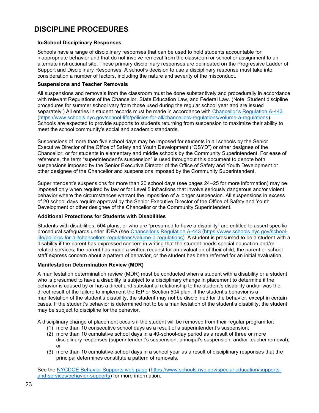# <span id="page-23-0"></span>**DISCIPLINE PROCEDURES**

### <span id="page-23-1"></span>**In-School Disciplinary Responses**

Schools have a range of disciplinary responses that can be used to hold students accountable for inappropriate behavior and that do not involve removal from the classroom or school or assignment to an alternate instructional site. These primary disciplinary responses are delineated on the Progressive Ladder of Support and Disciplinary Responses. A school's decision to use a disciplinary response must take into consideration a number of factors, including the nature and severity of the misconduct.

#### <span id="page-23-2"></span>**Suspensions and Teacher Removals**

All suspensions and removals from the classroom must be done substantively and procedurally in accordance with relevant Regulations of the Chancellor, State Education Law, and Federal Law. (Note: Student discipline procedures for summer school vary from those used during the regular school year and are issued separately.) All entries in student records must be made in accordance with Chancellor'[s Regulation A-443](https://www.schools.nyc.gov/school-life/policies-for-all/chancellors-regulations/volume-a-regulations) [\(https://www.schools.nyc.gov/school-life/policies-for-all/chancellors-regulations/volume-a-regulations\)](https://www.schools.nyc.gov/school-life/policies-for-all/chancellors-regulations/volume-a-regulations). Schools are expected to provide supports to students returning from suspension to maximize their ability to meet the school community's social and academic standards.

Suspensions of more than five school days may be imposed for students in all schools by the Senior Executive Director of the Office of Safety and Youth Development ("OSYD") or other designee of the Chancellor, or for students in elementary and middle schools by the Community Superintendent. For ease of reference, the term "superintendent's suspension" is used throughout this document to denote both suspensions imposed by the Senior Executive Director of the Office of Safety and Youth Development or other designee of the Chancellor and suspensions imposed by the Community Superintendent.

Superintendent's suspensions for more than 20 school days (see pages 24–25 for more information) may be imposed only when required by law or for Level 5 infractions that involve seriously dangerous and/or violent behavior where the circumstances warrant the imposition of a longer suspension. All suspensions in excess of 20 school days require approval by the Senior Executive Director of the Office of Safety and Youth Development or other designee of the Chancellor or the Community Superintendent.

### <span id="page-23-3"></span>**Additional Protections for Students with Disabilities**

Students with disabilities, 504 plans, or who are "presumed to have a disability" are entitled to assert specific procedural safeguards under IDEA (see [Chancellor's Regulation A-443](https://www.schools.nyc.gov/school-life/policies-for-all/chancellors-regulations/volume-a-regulations) [\(https://www.schools.nyc.gov/school](https://www.schools.nyc.gov/school-life/policies-for-all/chancellors-regulations/volume-a-regulations)[life/policies-for-all/chancellors-regulations/volume-a-regulations\)](https://www.schools.nyc.gov/school-life/policies-for-all/chancellors-regulations/volume-a-regulations). A student is presumed to be a student with a disability if the parent has expressed concern in writing that the student needs special education and/or related services, the parent has made a written request for an evaluation of their child, the parent or school staff express concern about a pattern of behavior, or the student has been referred for an initial evaluation.

### <span id="page-23-4"></span>**Manifestation Determination Review (MDR)**

A manifestation determination review (MDR) must be conducted when a student with a disability or a student who is presumed to have a disability is subject to a disciplinary change in placement to determine if the behavior is caused by or has a direct and substantial relationship to the student's disability and/or was the direct result of the failure to implement the IEP or Section 504 plan. If the student's behavior is a manifestation of the student's disability, the student may not be disciplined for the behavior, except in certain cases. If the student's behavior is determined not to be a manifestation of the student's disability, the student may be subject to discipline for the behavior.

A disciplinary change of placement occurs if the student will be removed from their regular program for:

- (1) more than 10 consecutive school days as a result of a superintendent's suspension;
- (2) more than 10 cumulative school days in a 40-school-day period as a result of three or more disciplinary responses (superintendent's suspension, principal's suspension, and/or teacher removal); or
- (3) more than 10 cumulative school days in a school year as a result of disciplinary responses that the principal determines constitute a pattern of removals.

See the [NYCDOE Behavior](https://nycdoe.sharepoint.com/sites/D-CodePhaseone/Shared%20Documents/D-Code%20Revisions%20%26%20Recommendations/Stage%201%20-%20Summer%202019/August%202019%20Feedback%20and%20Edits/NYCDOE%20Behavior%20Supports%20web%20page) Supports web page [\(https://www.schools.nyc.gov/special-education/supports](https://www.schools.nyc.gov/special-education/supports-and-services/behavior-supports)[and-services/behavior-supports\)](https://www.schools.nyc.gov/special-education/supports-and-services/behavior-supports) for more information.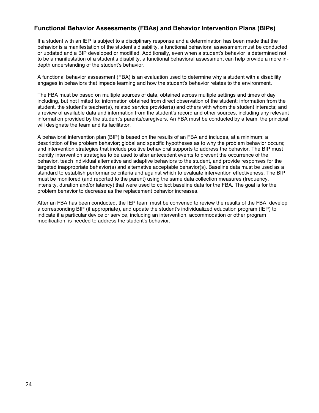# <span id="page-24-0"></span>**Functional Behavior Assessments (FBAs) and Behavior Intervention Plans (BIPs)**

If a student with an IEP is subject to a disciplinary response and a determination has been made that the behavior is a manifestation of the student's disability, a functional behavioral assessment must be conducted or updated and a BIP developed or modified. Additionally, even when a student's behavior is determined not to be a manifestation of a student's disability, a functional behavioral assessment can help provide a more indepth understanding of the student's behavior.

A functional behavior assessment (FBA) is an evaluation used to determine why a student with a disability engages in behaviors that impede learning and how the student's behavior relates to the environment.

The FBA must be based on multiple sources of data, obtained across multiple settings and times of day including, but not limited to: information obtained from direct observation of the student; information from the student, the student's teacher(s), related service provider(s) and others with whom the student interacts; and a review of available data and information from the student's record and other sources, including any relevant information provided by the student's parents/caregivers. An FBA must be conducted by a team; the principal will designate the team and its facilitator.

A behavioral intervention plan (BIP) is based on the results of an FBA and includes, at a minimum: a description of the problem behavior; global and specific hypotheses as to why the problem behavior occurs; and intervention strategies that include positive behavioral supports to address the behavior. The BIP must identify intervention strategies to be used to alter antecedent events to prevent the occurrence of the behavior, teach individual alternative and adaptive behaviors to the student, and provide responses for the targeted inappropriate behavior(s) and alternative acceptable behavior(s). Baseline data must be used as a standard to establish performance criteria and against which to evaluate intervention effectiveness. The BIP must be monitored (and reported to the parent) using the same data collection measures (frequency, intensity, duration and/or latency) that were used to collect baseline data for the FBA. The goal is for the problem behavior to decrease as the replacement behavior increases.

After an FBA has been conducted, the IEP team must be convened to review the results of the FBA, develop a corresponding BIP (if appropriate), and update the student's individualized education program (IEP) to indicate if a particular device or service, including an intervention, accommodation or other program modification, is needed to address the student's behavior.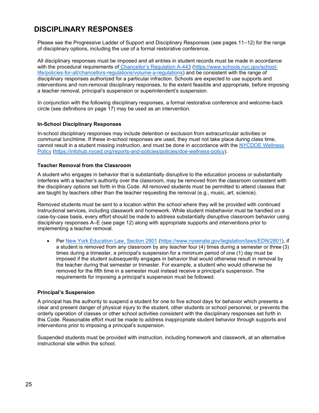# <span id="page-25-0"></span>**DISCIPLINARY RESPONSES**

Please see the Progressive Ladder of Support and Disciplinary Responses (see pages 11–12) for the range of disciplinary options, including the use of a formal restorative conference.

All disciplinary responses must be imposed and all entries in student records must be made in accordance with the procedural requirements of [Chancellor's Regulation A](https://www.schools.nyc.gov/school-life/policies-for-all/chancellors-regulations/volume-a-regulations)-443 [\(https://www.schools.nyc.gov/school](https://www.schools.nyc.gov/school-life/policies-for-all/chancellors-regulations/volume-a-regulations)[life/policies-for-all/chancellors-regulations/volume-a-regulations\)](https://www.schools.nyc.gov/school-life/policies-for-all/chancellors-regulations/volume-a-regulations) and be consistent with the range of disciplinary responses authorized for a particular infraction. Schools are expected to use supports and interventions and non-removal disciplinary responses, to the extent feasible and appropriate, before imposing a teacher removal, principal's suspension or superintendent's suspension.

In conjunction with the following disciplinary responses, a formal restorative conference and welcome-back circle (see definitions on page 17) may be used as an intervention.

### <span id="page-25-1"></span>**In-School Disciplinary Responses**

In-school disciplinary responses may include detention or exclusion from extracurricular activities or communal lunchtime. If these in-school responses are used, they must not take place during class time, cannot result in a student missing instruction, and must be done in accordance with the [NYCDOE Wellness](https://nycdoe.sharepoint.com/sites/D-CodePhaseone/Shared%20Documents/D-Code%20Revisions%20%26%20Recommendations/Stage%201%20-%20Summer%202019/NYCDOE%20Wellness%20Policy) [Policy](https://nycdoe.sharepoint.com/sites/D-CodePhaseone/Shared%20Documents/D-Code%20Revisions%20%26%20Recommendations/Stage%201%20-%20Summer%202019/NYCDOE%20Wellness%20Policy) [\(https://infohub.nyced.org/reports-and-policies/policies/doe-wellness-policy\)](https://infohub.nyced.org/reports-and-policies/policies/doe-wellness-policy).

### <span id="page-25-2"></span>**Teacher Removal from the Classroom**

A student who engages in behavior that is substantially disruptive to the education process or substantially interferes with a teacher's authority over the classroom, may be removed from the classroom consistent with the disciplinary options set forth in this Code. All removed students must be permitted to attend classes that are taught by teachers other than the teacher requesting the removal (e.g., music, art, science).

Removed students must be sent to a location within the school where they will be provided with continued instructional services, including classwork and homework. While student misbehavior must be handled on a case-by-case basis, every effort should be made to address substantially disruptive classroom behavior using disciplinary responses A–E (see page 12) along with appropriate supports and interventions prior to implementing a teacher removal.

• Per [New York Education Law, Section 2801](https://www.nysenate.gov/legislation/laws/EDN/2801) [\(https://www.nysenate.gov/legislation/laws/EDN/2801\)](https://www.nysenate.gov/legislation/laws/EDN/2801), if a student is removed from any classroom by any teacher four (4) times during a semester or three (3) times during a trimester, a principal's suspension for a minimum period of one (1) day must be imposed if the student subsequently engages in behavior that would otherwise result in removal by the teacher during that semester or trimester. For example, a student who would otherwise be removed for the fifth time in a semester must instead receive a principal's suspension. The requirements for imposing a principal's suspension must be followed.

#### <span id="page-25-3"></span>**Principal's Suspension**

A principal has the authority to suspend a student for one to five school days for behavior which presents a clear and present danger of physical injury to the student, other students or school personnel, or prevents the orderly operation of classes or other school activities consistent with the disciplinary responses set forth in this Code. Reasonable effort must be made to address inappropriate student behavior through supports and interventions prior to imposing a principal's suspension.

Suspended students must be provided with instruction, including homework and classwork, at an alternative instructional site within the school.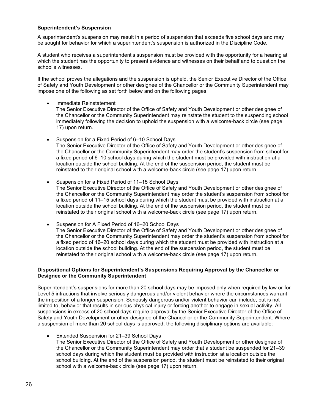#### <span id="page-26-0"></span>**Superintendent's Suspension**

A superintendent's suspension may result in a period of suspension that exceeds five school days and may be sought for behavior for which a superintendent's suspension is authorized in the Discipline Code.

A student who receives a superintendent's suspension must be provided with the opportunity for a hearing at which the student has the opportunity to present evidence and witnesses on their behalf and to question the school's witnesses.

If the school proves the allegations and the suspension is upheld, the Senior Executive Director of the Office of Safety and Youth Development or other designee of the Chancellor or the Community Superintendent may impose one of the following as set forth below and on the following pages.

• Immediate Reinstatement

The Senior Executive Director of the Office of Safety and Youth Development or other designee of the Chancellor or the Community Superintendent may reinstate the student to the suspending school immediately following the decision to uphold the suspension with a welcome-back circle (see page 17) upon return.

- Suspension for a Fixed Period of 6–10 School Days The Senior Executive Director of the Office of Safety and Youth Development or other designee of the Chancellor or the Community Superintendent may order the student's suspension from school for a fixed period of 6–10 school days during which the student must be provided with instruction at a location outside the school building. At the end of the suspension period, the student must be reinstated to their original school with a welcome-back circle (see page 17) upon return.
- Suspension for a Fixed Period of 11–15 School Days The Senior Executive Director of the Office of Safety and Youth Development or other designee of the Chancellor or the Community Superintendent may order the student's suspension from school for a fixed period of 11–15 school days during which the student must be provided with instruction at a location outside the school building. At the end of the suspension period, the student must be reinstated to their original school with a welcome-back circle (see page 17) upon return.

• Suspension for A Fixed Period of 16–20 School Days The Senior Executive Director of the Office of Safety and Youth Development or other designee of the Chancellor or the Community Superintendent may order the student's suspension from school for a fixed period of 16–20 school days during which the student must be provided with instruction at a location outside the school building. At the end of the suspension period, the student must be reinstated to their original school with a welcome-back circle (see page 17) upon return.

### <span id="page-26-1"></span>**Dispositional Options for Superintendent's Suspensions Requiring Approval by the Chancellor or Designee or the Community Superintendent**

Superintendent's suspensions for more than 20 school days may be imposed only when required by law or for Level 5 infractions that involve seriously dangerous and/or violent behavior where the circumstances warrant the imposition of a longer suspension. Seriously dangerous and/or violent behavior can include, but is not limited to, behavior that results in serious physical injury or forcing another to engage in sexual activity. All suspensions in excess of 20 school days require approval by the Senior Executive Director of the Office of Safety and Youth Development or other designee of the Chancellor or the Community Superintendent. Where a suspension of more than 20 school days is approved, the following disciplinary options are available:

• Extended Suspension for 21–39 School Days

The Senior Executive Director of the Office of Safety and Youth Development or other designee of the Chancellor or the Community Superintendent may order that a student be suspended for 21–39 school days during which the student must be provided with instruction at a location outside the school building. At the end of the suspension period, the student must be reinstated to their original school with a welcome-back circle (see page 17) upon return.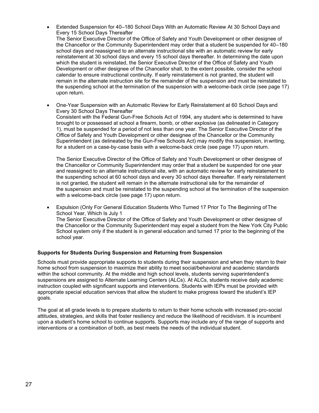- Extended Suspension for 40–180 School Days With an Automatic Review At 30 School Days and Every 15 School Days Thereafter The Senior Executive Director of the Office of Safety and Youth Development or other designee of the Chancellor or the Community Superintendent may order that a student be suspended for 40–180 school days and reassigned to an alternate instructional site with an automatic review for early reinstatement at 30 school days and every 15 school days thereafter. In determining the date upon which the student is reinstated, the Senior Executive Director of the Office of Safety and Youth Development or other designee of the Chancellor shall, to the extent possible, consider the school calendar to ensure instructional continuity. If early reinstatement is not granted, the student will remain in the alternate instruction site for the remainder of the suspension and must be reinstated to the suspending school at the termination of the suspension with a welcome-back circle (see page 17) upon return.
- One-Year Suspension with an Automatic Review for Early Reinstatement at 60 School Days and Every 30 School Days Thereafter Consistent with the Federal Gun-Free Schools Act of 1994, any student who is determined to have brought to or possessed at school a firearm, bomb, or other explosive (as delineated in Category 1), must be suspended for a period of not less than one year. The Senior Executive Director of the Office of Safety and Youth Development or other designee of the Chancellor or the Community Superintendent (as delineated by the Gun-Free Schools Act) may modify this suspension, in writing, for a student on a case-by-case basis with a welcome-back circle (see page 17) upon return.

The Senior Executive Director of the Office of Safety and Youth Development or other designee of the Chancellor or Community Superintendent may order that a student be suspended for one year and reassigned to an alternate instructional site, with an automatic review for early reinstatement to the suspending school at 60 school days and every 30 school days thereafter. If early reinstatement is not granted, the student will remain in the alternate instructional site for the remainder of the suspension and must be reinstated to the suspending school at the termination of the suspension with a welcome-back circle (see page 17) upon return.

• Expulsion (Only For General Education Students Who Turned 17 Prior To The Beginning of The School Year, Which Is July 1 The Senior Executive Director of the Office of Safety and Youth Development or other designee of the Chancellor or the Community Superintendent may expel a student from the New York City Public School system only if the student is in general education and turned 17 prior to the beginning of the school year.

# <span id="page-27-0"></span>**Supports for Students During Suspension and Returning from Suspension**

Schools must provide appropriate supports to students during their suspension and when they return to their home school from suspension to maximize their ability to meet social/behavioral and academic standards within the school community. At the middle and high school levels, students serving superintendent's suspensions are assigned to Alternate Learning Centers (ALCs). At ALCs, students receive daily academic instruction coupled with significant supports and interventions. Students with IEPs must be provided with appropriate special education services that allow the student to make progress toward the student's IEP goals.

The goal at all grade levels is to prepare students to return to their home schools with increased pro-social attitudes, strategies, and skills that foster resiliency and reduce the likelihood of recidivism. It is incumbent upon a student's home school to continue supports. Supports may include any of the range of supports and interventions or a combination of both, as best meets the needs of the individual student.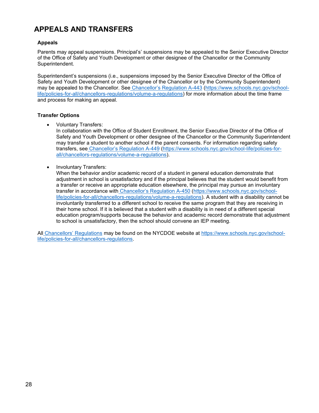# <span id="page-28-0"></span>**APPEALS AND TRANSFERS**

### <span id="page-28-1"></span>**Appeals**

Parents may appeal suspensions. Principal's' suspensions may be appealed to the Senior Executive Director of the Office of Safety and Youth Development or other designee of the Chancellor or the Community Superintendent.

Superintendent's suspensions (i.e., suspensions imposed by the Senior Executive Director of the Office of Safety and Youth Development or other designee of the Chancellor or by the Community Superintendent) may be appealed to the Chancellor. See [Chancellor's Regulation A](https://www.schools.nyc.gov/school-life/policies-for-all/chancellors-regulations/volume-a-regulations)-443 [\(https://www.schools.nyc.gov/school](https://www.schools.nyc.gov/school-life/policies-for-all/chancellors-regulations/volume-a-regulations)[life/policies-for-all/chancellors-regulations/volume-a-regulations\)](https://www.schools.nyc.gov/school-life/policies-for-all/chancellors-regulations/volume-a-regulations) for more information about the time frame and process for making an appeal.

### <span id="page-28-2"></span>**Transfer Options**

• Voluntary Transfers:

In collaboration with the Office of Student Enrollment, the Senior Executive Director of the Office of Safety and Youth Development or other designee of the Chancellor or the Community Superintendent may transfer a student to another school if the parent consents. For information regarding safety transfers, see [Chancellor's Regulation A](https://www.schools.nyc.gov/school-life/policies-for-all/chancellors-regulations/volume-a-regulations)-449 [\(https://www.schools.nyc.gov/school-life/policies-for](https://www.schools.nyc.gov/school-life/policies-for-all/chancellors-regulations/volume-a-regulations)[all/chancellors-regulations/volume-a-regulations\)](https://www.schools.nyc.gov/school-life/policies-for-all/chancellors-regulations/volume-a-regulations).

• Involuntary Transfers:

When the behavior and/or academic record of a student in general education demonstrate that adjustment in school is unsatisfactory and if the principal believes that the student would benefit from a transfer or receive an appropriate education elsewhere, the principal may pursue an involuntary transfer in accordance with [Chancellor's Regulation A](https://www.schools.nyc.gov/school-life/policies-for-all/chancellors-regulations/volume-a-regulations)-450 [\(https://www.schools.nyc.gov/school](https://www.schools.nyc.gov/school-life/policies-for-all/chancellors-regulations/volume-a-regulations)[life/policies-for-all/chancellors-regulations/volume-a-regulations\)](https://www.schools.nyc.gov/school-life/policies-for-all/chancellors-regulations/volume-a-regulations). A student with a disability cannot be involuntarily transferred to a different school to receive the same program that they are receiving in their home school. If it is believed that a student with a disability is in need of a different special education program/supports because the behavior and academic record demonstrate that adjustment to school is unsatisfactory, then the school should convene an IEP meeting.

All [Chancellors' Regulations](https://www.schools.nyc.gov/school-life/policies-for-all/chancellors-regulations) may be found on the NYCDOE website at [https://www.schools.nyc.gov/school](https://www.schools.nyc.gov/school-life/policies-for-all/chancellors-regulations)[life/policies-for-all/chancellors-regulations.](https://www.schools.nyc.gov/school-life/policies-for-all/chancellors-regulations)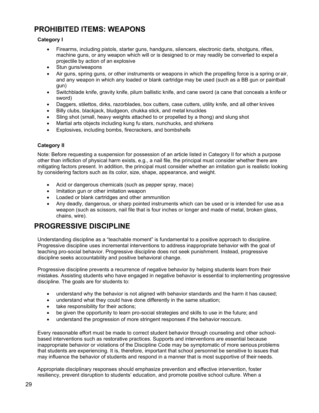# <span id="page-29-0"></span>**PROHIBITED ITEMS: WEAPONS**

# <span id="page-29-1"></span>**Category I**

- Firearms, including pistols, starter guns, handguns, silencers, electronic darts, shotguns, rifles, machine guns, or any weapon which will or is designed to or may readily be converted to expel a projectile by action of an explosive
- Stun guns/weapons
- Air guns, spring guns, or other instruments or weapons in which the propelling force is a spring or air, and any weapon in which any loaded or blank cartridge may be used (such as a BB gun or paintball gun)
- Switchblade knife, gravity knife, pilum ballistic knife, and cane sword (a cane that conceals a knife or sword)
- Daggers, stilettos, dirks, razorblades, box cutters, case cutters, utility knife, and all other knives
- Billy clubs, blackjack, bludgeon, chukka stick, and metal knuckles
- Sling shot (small, heavy weights attached to or propelled by a thong) and slung shot
- Martial arts objects including kung fu stars, nunchucks, and shirkens
- Explosives, including bombs, firecrackers, and bombshells

# <span id="page-29-2"></span>**Category II**

Note: Before requesting a suspension for possession of an article listed in Category II for which a purpose other than infliction of physical harm exists, e.g., a nail file, the principal must consider whether there are mitigating factors present. In addition, the principal must consider whether an imitation gun is realistic looking by considering factors such as its color, size, shape, appearance, and weight.

- Acid or dangerous chemicals (such as pepper spray, mace)
- Imitation gun or other imitation weapon
- Loaded or blank cartridges and other ammunition
- Any deadly, dangerous, or sharp pointed instruments which can be used or is intended for use as a weapon (such as scissors, nail file that is four inches or longer and made of metal, broken glass, chains, wire).

# <span id="page-29-3"></span>**PROGRESSIVE DISCIPLINE**

Understanding discipline as a "teachable moment" is fundamental to a positive approach to discipline. Progressive discipline uses incremental interventions to address inappropriate behavior with the goal of teaching pro-social behavior. Progressive discipline does not seek punishment. Instead, progressive discipline seeks accountability and positive behavioral change.

Progressive discipline prevents a recurrence of negative behavior by helping students learn from their mistakes. Assisting students who have engaged in negative behavior is essential to implementing progressive discipline. The goals are for students to:

- understand why the behavior is not aligned with behavior standards and the harm it has caused;
- understand what they could have done differently in the same situation;
- take responsibility for their actions;
- be given the opportunity to learn pro-social strategies and skills to use in the future; and
- understand the progression of more stringent responses if the behavior reoccurs.

Every reasonable effort must be made to correct student behavior through counseling and other schoolbased interventions such as restorative practices. Supports and interventions are essential because inappropriate behavior or violations of the Discipline Code may be symptomatic of more serious problems that students are experiencing. It is, therefore, important that school personnel be sensitive to issues that may influence the behavior of students and respond in a manner that is most supportive of their needs.

Appropriate disciplinary responses should emphasize prevention and effective intervention, foster resiliency, prevent disruption to students' education, and promote positive school culture. When a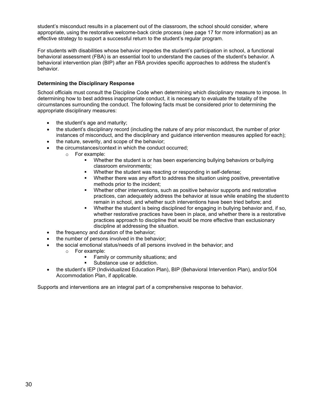student's misconduct results in a placement out of the classroom, the school should consider, where appropriate, using the restorative welcome-back circle process (see page 17 for more information) as an effective strategy to support a successful return to the student's regular program.

For students with disabilities whose behavior impedes the student's participation in school, a functional behavioral assessment (FBA) is an essential tool to understand the causes of the student's behavior. A behavioral intervention plan (BIP) after an FBA provides specific approaches to address the student's behavior.

# <span id="page-30-0"></span>**Determining the Disciplinary Response**

School officials must consult the Discipline Code when determining which disciplinary measure to impose. In determining how to best address inappropriate conduct, it is necessary to evaluate the totality of the circumstances surrounding the conduct. The following facts must be considered prior to determining the appropriate disciplinary measures:

- the student's age and maturity;
- the student's disciplinary record (including the nature of any prior misconduct, the number of prior instances of misconduct, and the disciplinary and guidance intervention measures applied for each);
- the nature, severity, and scope of the behavior:
- the circumstances/context in which the conduct occurred;
	- o For example:
		- Whether the student is or has been experiencing bullying behaviors or bullying classroom environments;
		- Whether the student was reacting or responding in self-defense;
		- Whether there was any effort to address the situation using positive, preventative methods prior to the incident;
		- Whether other interventions, such as positive behavior supports and restorative practices, can adequately address the behavior at issue while enabling the student to remain in school, and whether such interventions have been tried before; and
		- Whether the student is being disciplined for engaging in bullying behavior and, if so, whether restorative practices have been in place, and whether there is a restorative practices approach to discipline that would be more effective than exclusionary discipline at addressing the situation.
- the frequency and duration of the behavior;
- the number of persons involved in the behavior;
- the social emotional status/needs of all persons involved in the behavior; and
	- o For example:
		- Family or community situations; and
		- Substance use or addiction.
- the student's IEP (Individualized Education Plan), BIP (Behavioral Intervention Plan), and/or 504 Accommodation Plan, if applicable.

Supports and interventions are an integral part of a comprehensive response to behavior.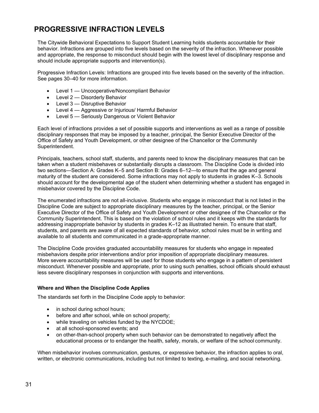# <span id="page-31-0"></span>**PROGRESSIVE INFRACTION LEVELS**

The Citywide Behavioral Expectations to Support Student Learning holds students accountable for their behavior. Infractions are grouped into five levels based on the severity of the infraction. Whenever possible and appropriate, the response to misconduct should begin with the lowest level of disciplinary response and should include appropriate supports and intervention(s).

Progressive Infraction Levels: Infractions are grouped into five levels based on the severity of the infraction. See pages 30–40 for more information.

- Level 1 Uncooperative/Noncompliant Behavior
- Level 2 Disorderly Behavior
- Level 3 Disruptive Behavior
- Level 4 Aggressive or Injurious/ Harmful Behavior
- Level 5 Seriously Dangerous or Violent Behavior

Each level of infractions provides a set of possible supports and interventions as well as a range of possible disciplinary responses that may be imposed by a teacher, principal, the Senior Executive Director of the Office of Safety and Youth Development, or other designee of the Chancellor or the Community Superintendent.

Principals, teachers, school staff, students, and parents need to know the disciplinary measures that can be taken when a student misbehaves or substantially disrupts a classroom. The Discipline Code is divided into two sections—Section A: Grades K–5 and Section B: Grades 6–12—to ensure that the age and general maturity of the student are considered. Some infractions may not apply to students in grades K–3. Schools should account for the developmental age of the student when determining whether a student has engaged in misbehavior covered by the Discipline Code.

The enumerated infractions are not all-inclusive. Students who engage in misconduct that is not listed in the Discipline Code are subject to appropriate disciplinary measures by the teacher, principal, or the Senior Executive Director of the Office of Safety and Youth Development or other designee of the Chancellor or the Community Superintendent. This is based on the violation of school rules and it keeps with the standards for addressing inappropriate behavior by students in grades K–12 as illustrated herein. To ensure that staff, students, and parents are aware of all expected standards of behavior, school rules must be in writing and available to all students and communicated in a grade-appropriate manner.

The Discipline Code provides graduated accountability measures for students who engage in repeated misbehaviors despite prior interventions and/or prior imposition of appropriate disciplinary measures. More severe accountability measures will be used for those students who engage in a pattern of persistent misconduct. Whenever possible and appropriate, prior to using such penalties, school officials should exhaust less severe disciplinary responses in conjunction with supports and interventions.

#### <span id="page-31-1"></span>**Where and When the Discipline Code Applies**

The standards set forth in the Discipline Code apply to behavior:

- in school during school hours;
- before and after school, while on school property;
- while traveling on vehicles funded by the NYCDOE:
- at all school-sponsored events; and
- on other-than-school property when such behavior can be demonstrated to negatively affect the educational process or to endanger the health, safety, morals, or welfare of the school community.

When misbehavior involves communication, gestures, or expressive behavior, the infraction applies to oral, written, or electronic communications, including but not limited to texting, e-mailing, and social networking.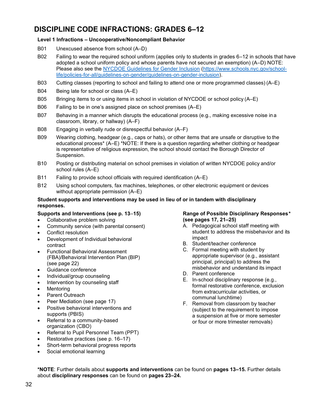# <span id="page-32-0"></span>**DISCIPLINE CODE INFRACTIONS: GRADES 6–12**

# <span id="page-32-1"></span>**Level 1 Infractions – Uncooperative/Noncompliant Behavior**

- B01 Unexcused absence from school (A–D)
- B02 Failing to wear the required school uniform (applies only to students in grades 6–12 in schools that have adopted a school uniform policy and whose parents have not secured an exemption) (A–D) NOTE: Please also see the [NYCDOE Guidelines for Gender Inclusion](https://www.schools.nyc.gov/school-life/policies-for-all/guidelines-on-gender/guidelines-on-gender-inclusion) [\(https://www.schools.nyc.gov/school](https://www.schools.nyc.gov/school-life/policies-for-all/guidelines-on-gender/guidelines-on-gender-inclusion)[life/policies-for-all/guidelines-on-gender/guidelines-on-gender-inclusion\)](https://www.schools.nyc.gov/school-life/policies-for-all/guidelines-on-gender/guidelines-on-gender-inclusion).
- B03 Cutting classes (reporting to school and failing to attend one or more programmed classes) (A–E)
- B04 Being late for school or class (A–E)
- B05 Bringing items to or using items in school in violation of NYCDOE or school policy (A–E)
- B06 Failing to be in one's assigned place on school premises (A–E)
- B07 Behaving in a manner which disrupts the educational process (e.g., making excessive noise ina classroom, library, or hallway) (A–F)
- B08 Engaging in verbally rude or disrespectful behavior (A–F)
- B09 Wearing clothing, headgear (e.g., caps or hats), or other items that are unsafe or disruptive to the educational process\* (A–E) \*NOTE: If there is a question regarding whether clothing or headgear is representative of religious expression, the school should contact the Borough Director of Suspension.
- B10 Posting or distributing material on school premises in violation of written NYCDOE policy and/or school rules (A–E)
- B11 Failing to provide school officials with required identification (A–E)
- B12 Using school computers, fax machines, telephones, or other electronic equipment or devices without appropriate permission (A–E)

### <span id="page-32-2"></span>**Student supports and interventions may be used in lieu of or in tandem with disciplinary responses.**

### **Supports and Interventions (see p. 13***–***15)**

- Collaborative problem solving
- Community service (with parental consent)
- Conflict resolution
- Development of Individual behavioral contract
- Functional Behavioral Assessment (FBA)/Behavioral Intervention Plan (BIP) (see page 22)
- Guidance conference
- Individual/group counseling
- Intervention by counseling staff
- **Mentoring**
- Parent Outreach
- Peer Mediation (see page 17)
- Positive behavioral interventions and supports (PBIS)
- Referral to a community-based organization (CBO)
- Referral to Pupil Personnel Team (PPT)
- Restorative practices (see p. 16–17)
- Short-term behavioral progress reports
- Social emotional learning

### <span id="page-32-3"></span>**Range of Possible Disciplinary Responses***\**  **(see pages 17, 21–25)**

- A. Pedagogical school staff meeting with student to address the misbehavior and its impact
- B. Student/teacher conference
- C. Formal meeting with student by appropriate supervisor (e.g., assistant principal, principal) to address the misbehavior and understand its impact
- D. Parent conference
- E. In-school disciplinary response (e.g., formal restorative conference, exclusion from extracurricular activities, or communal lunchtime)
- F. Removal from classroom by teacher (subject to the requirement to impose a suspension at five or more semester or four or more trimester removals)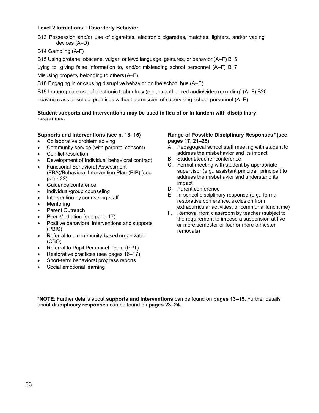### <span id="page-33-0"></span>**Level 2 Infractions – Disorderly Behavior**

B13 Possession and/or use of cigarettes, electronic cigarettes, matches, lighters, and/or vaping devices (A–D)

# B14 Gambling (A-F)

B15 Using profane, obscene, vulgar, or lewd language, gestures, or behavior (A–F) B16

Lying to, giving false information to, and/or misleading school personnel (A–F) B17

Misusing property belonging to others (A–F)

B18 Engaging in or causing disruptive behavior on the school bus (A–E)

B19 Inappropriate use of electronic technology (e.g., unauthorized audio/video recording) (A–F) B20

Leaving class or school premises without permission of supervising school personnel (A–E)

# <span id="page-33-1"></span>**Student supports and interventions may be used in lieu of or in tandem with disciplinary responses.**

### **Supports and Interventions (see p. 13***–***15)**

- Collaborative problem solving
- Community service (with parental consent)
- Conflict resolution
- Development of Individual behavioral contract
- Functional Behavioral Assessment (FBA)/Behavioral Intervention Plan (BIP) (see page 22)
- Guidance conference
- Individual/group counseling
- Intervention by counseling staff
- **Mentoring**
- Parent Outreach
- Peer Mediation (see page 17)
- Positive behavioral interventions and supports (PBIS)
- Referral to a community-based organization (CBO)
- Referral to Pupil Personnel Team (PPT)
- Restorative practices (see pages 16–17)
- Short-term behavioral progress reports
- Social emotional learning

### <span id="page-33-2"></span>**Range of Possible Disciplinary Responses***\** **(see pages 17, 21–25)**

- A. Pedagogical school staff meeting with student to address the misbehavior and its impact
- B. Student/teacher conference
- C. Formal meeting with student by appropriate supervisor (e.g., assistant principal, principal) to address the misbehavior and understand its impact
- D. Parent conference
- E. In-school disciplinary response (e.g., formal restorative conference, exclusion from extracurricular activities, or communal lunchtime)
- F. Removal from classroom by teacher (subject to the requirement to impose a suspension at five or more semester or four or more trimester removals)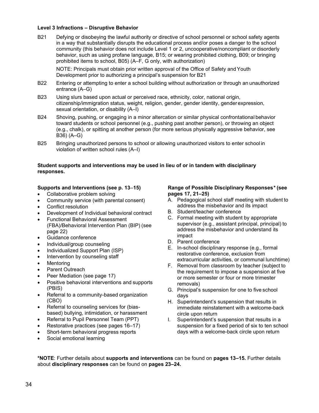### <span id="page-34-0"></span>**Level 3 Infractions – Disruptive Behavior**

B21 Defying or disobeying the lawful authority or directive of school personnel or school safety agents in a way that substantially disrupts the educational process and/or poses a danger to the school community (this behavior does not include Level 1 or 2, uncooperative/noncompliant or disorderly behavior, such as using profane language, B15; or wearing prohibited clothing, B09; or bringing prohibited items to school, B05) (A–F, G only, with authorization)

NOTE: Principals must obtain prior written approval of the Office of Safety andYouth Development prior to authorizing a principal's suspension for B21

- B22 Entering or attempting to enter a school building without authorization or through an unauthorized entrance (A–G)
- B23 Using slurs based upon actual or perceived race, ethnicity, color, national origin, citizenship/immigration status, weight, religion, gender, gender identity, gender expression, sexual orientation, or disability (A–I)
- B24 Shoving, pushing, or engaging in a minor altercation or similar physical confrontational behavior toward students or school personnel (e.g., pushing past another person), or throwing an object (e.g., chalk), or spitting at another person (for more serious physically aggressive behavior, see B36) (A–G)
- B25 Bringing unauthorized persons to school or allowing unauthorized visitors to enter school in violation of written school rules (A–I)

#### <span id="page-34-1"></span>**Student supports and interventions may be used in lieu of or in tandem with disciplinary responses.**

### **Supports and Interventions (see p. 13***–***15)**

- Collaborative problem solving
- Community service (with parental consent)
- Conflict resolution
- Development of Individual behavioral contract
- Functional Behavioral Assessment (FBA)/Behavioral Intervention Plan (BIP) (see page 22)
- Guidance conference
- Individual/group counseling
- Individualized Support Plan (ISP)
- Intervention by counseling staff
- **Mentoring**
- Parent Outreach
- Peer Mediation (see page 17)
- Positive behavioral interventions and supports (PBIS)
- Referral to a community-based organization (CBO)
- Referral to counseling services for (biasbased) bullying, intimidation, or harassment
- Referral to Pupil Personnel Team (PPT)
- Restorative practices (see pages 16–17)
- Short-term behavioral progress reports
- Social emotional learning

#### <span id="page-34-2"></span>**Range of Possible Disciplinary Responses***\** **(see pages 17, 21–25)**

- A. Pedagogical school staff meeting with student to address the misbehavior and its impact
- B. Student/teacher conference
- C. Formal meeting with student by appropriate supervisor (e.g., assistant principal, principal) to address the misbehavior and understand its impact
- D. Parent conference
- E. In-school disciplinary response (e.g., formal restorative conference, exclusion from extracurricular activities, or communal lunchtime)
- F. Removal from classroom by teacher (subject to the requirement to impose a suspension at five or more semester or four or more trimester removals)
- G. Principal's suspension for one to five school days
- H. Superintendent's suspension that results in immediate reinstatement with a welcome-back circle upon return
- I. Superintendent's suspension that results in a suspension for a fixed period of six to ten school days with a welcome-back circle upon return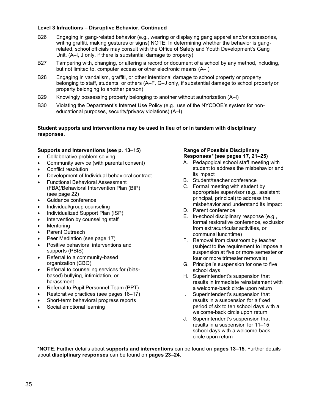### <span id="page-35-0"></span>**Level 3 Infractions – Disruptive Behavior, Continued**

- B26 Engaging in gang-related behavior (e.g., wearing or displaying gang apparel and/or accessories, writing graffiti, making gestures or signs) NOTE: In determining whether the behavior is gangrelated, school officials may consult with the Office of Safety and Youth Development's Gang Unit. (A–I, J only, if there is substantial damage to property)
- B27 Tampering with, changing, or altering a record or document of a school by any method, including, but not limited to, computer access or other electronic means (A–I)
- B28 Engaging in vandalism, graffiti, or other intentional damage to school property or property belonging to staff, students, or others (A–F, G–J only, if substantial damage to school property or property belonging to another person)
- B29 Knowingly possessing property belonging to another without authorization (A–I)
- B30 Violating the Department's Internet Use Policy (e.g., use of the NYCDOE's system for noneducational purposes, security/privacy violations) (A–I)

### <span id="page-35-1"></span>**Student supports and interventions may be used in lieu of or in tandem with disciplinary responses.**

### **Supports and Interventions (see p. 13***–***15)**

- Collaborative problem solving
- Community service (with parental consent)
- Conflict resolution
- Development of Individual behavioral contract
- Functional Behavioral Assessment (FBA)/Behavioral Intervention Plan (BIP) (see page 22)
- Guidance conference
- Individual/group counseling
- Individualized Support Plan (ISP)
- Intervention by counseling staff
- **Mentoring**
- Parent Outreach
- Peer Mediation (see page 17)
- Positive behavioral interventions and supports (PBIS)
- Referral to a community-based organization (CBO)
- Referral to counseling services for (biasbased) bullying, intimidation, or harassment
- Referral to Pupil Personnel Team (PPT)
- Restorative practices (see pages 16–17)
- Short-term behavioral progress reports
- Social emotional learning

# <span id="page-35-2"></span>**Range of Possible Disciplinary Responses***\** **(see pages 17, 21–25)**

- A. Pedagogical school staff meeting with student to address the misbehavior and its impact
- B. Student/teacher conference
- C. Formal meeting with student by appropriate supervisor (e.g., assistant principal, principal) to address the misbehavior and understand its impact
- D. Parent conference
- E. In-school disciplinary response (e.g., formal restorative conference, exclusion from extracurricular activities, or communal lunchtime)
- F. Removal from classroom by teacher (subject to the requirement to impose a suspension at five or more semester or four or more trimester removals)
- G. Principal's suspension for one to five school days
- H. Superintendent's suspension that results in immediate reinstatement with a welcome-back circle upon return
- I. Superintendent's suspension that results in a suspension for a fixed period of six to ten school days with a welcome-back circle upon return
- J. Superintendent's suspension that results in a suspension for 11–15 school days with a welcome-back circle upon return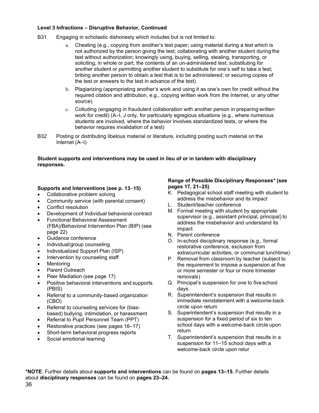### <span id="page-36-0"></span>**Level 3 Infractions – Disruptive Behavior, Continued**

- B31 Engaging in scholastic dishonesty which includes but is not limited to:
	- a. Cheating (e.g., copying from another's test paper; using material during a test which is not authorized by the person giving the test; collaborating with another student during the test without authorization; knowingly using, buying, selling, stealing, transporting, or soliciting, in whole or part, the contents of an un-administered test; substituting for another student or permitting another student to substitute for one's self to take a test; bribing another person to obtain a test that is to be administered; or securing copies of the test or answers to the test in advance of the test)
	- b. Plagiarizing (appropriating another's work and using it as one's own for credit without the required citation and attribution, e.g., copying written work from the Internet, or any other source)
	- c. Colluding (engaging in fraudulent collaboration with another person in preparing written work for credit) (A–I, J only, for particularly egregious situations (e.g., where numerous students are involved, where the behavior involves standardized tests, or where the behavior requires invalidation of a test)
- B32 Posting or distributing libelous material or literature, including posting such material on the Internet (A–I)

### <span id="page-36-1"></span>**Student supports and interventions may be used in lieu of or in tandem with disciplinary responses.**

# **Supports and Interventions (see p. 13***–***15)**

- Collaborative problem solving
- Community service (with parental consent)
- Conflict resolution
- Development of Individual behavioral contract
- Functional Behavioral Assessment (FBA)/Behavioral Intervention Plan (BIP) (see
- page 22)
- Guidance conference
- Individual/group counseling
- Individualized Support Plan (ISP)
- Intervention by counseling staff
- **Mentoring**
- Parent Outreach
- Peer Mediation (see page 17)
- Positive behavioral interventions and supports (PBIS)
- Referral to a community-based organization (CBO)
- Referral to counseling services for (biasbased) bullying, intimidation, or harassment
- Referral to Pupil Personnel Team (PPT)
- Restorative practices (see pages 16–17)
- Short-term behavioral progress reports
- Social emotional learning

#### <span id="page-36-2"></span>**Range of Possible Disciplinary Responses***\** **(see pages 17, 21–25)**

- K. Pedagogical school staff meeting with student to address the misbehavior and its impact
- L. Student/teacher conference
- M. Formal meeting with student by appropriate supervisor (e.g., assistant principal, principal) to address the misbehavior and understand its impact
- N. Parent conference
- O. In-school disciplinary response (e.g., formal restorative conference, exclusion from extracurricular activities, or communal lunchtime)
- P. Removal from classroom by teacher (subject to the requirement to impose a suspension at five or more semester or four or more trimester removals)
- Q. Principal's suspension for one to five school days
- R. Superintendent's suspension that results in immediate reinstatement with a welcome-back circle upon return
- S. Superintendent's suspension that results in a suspension for a fixed period of six to ten school days with a welcome-back circle upon return
- T. Superintendent's suspension that results in a suspension for 11–15 school days with a welcome-back circle upon retur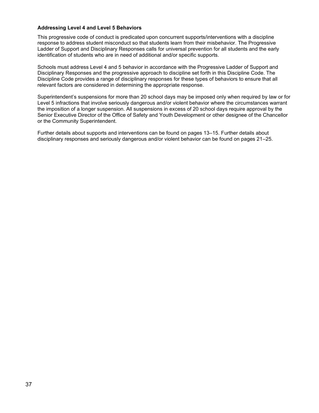### <span id="page-37-0"></span>**Addressing Level 4 and Level 5 Behaviors**

This progressive code of conduct is predicated upon concurrent supports/interventions with a discipline response to address student misconduct so that students learn from their misbehavior. The Progressive Ladder of Support and Disciplinary Responses calls for universal prevention for all students and the early identification of students who are in need of additional and/or specific supports.

Schools must address Level 4 and 5 behavior in accordance with the Progressive Ladder of Support and Disciplinary Responses and the progressive approach to discipline set forth in this Discipline Code. The Discipline Code provides a range of disciplinary responses for these types of behaviors to ensure that all relevant factors are considered in determining the appropriate response.

Superintendent's suspensions for more than 20 school days may be imposed only when required by law or for Level 5 infractions that involve seriously dangerous and/or violent behavior where the circumstances warrant the imposition of a longer suspension. All suspensions in excess of 20 school days require approval by the Senior Executive Director of the Office of Safety and Youth Development or other designee of the Chancellor or the Community Superintendent.

Further details about supports and interventions can be found on pages 13–15. Further details about disciplinary responses and seriously dangerous and/or violent behavior can be found on pages 21–25.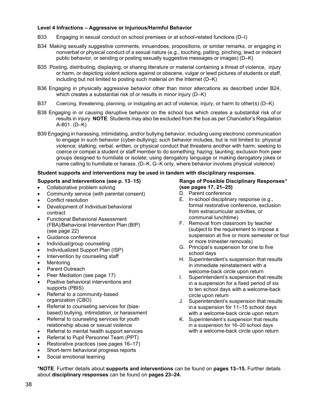### <span id="page-38-0"></span>**Level 4 Infractions – Aggressive or Injurious/Harmful Behavior**

- B33 Engaging in sexual conduct on school premises or at school-related functions (D–I)
- B34 Making sexually suggestive comments, innuendoes, propositions, or similar remarks, or engaging in nonverbal or physical conduct of a sexual nature (e.g., touching, patting, pinching, lewd or indecent public behavior, or sending or posting sexually suggestive messages or images) (D–K)
- B35 Posting, distributing, displaying, or sharing literature or material containing a threat of violence, injury or harm, or depicting violent actions against or obscene, vulgar or lewd pictures of students or staff, including but not limited to posting such material on the Internet (D–K)
- B36 Engaging in physically aggressive behavior other than minor altercations as described under B24, which creates a substantial risk of or results in minor injury (D–K)
- B37 Coercing, threatening, planning, or instigating an act of violence, injury, or harm to other(s) (D–K)
- B38 Engaging in or causing disruptive behavior on the school bus which creates a substantial risk of or results in injury. **NOTE**: Students may also be excluded from the bus as per Chancellor's Regulation A-801. (D–K)
- B39 Engaging in harassing, intimidating, and/or bullying behavior, including using electronic communication to engage in such behavior (cyber-bullying); such behavior includes, but is not limited to: physical violence; stalking; verbal, written, or physical conduct that threatens another with harm; seeking to coerce or compel a student or staff member to do something; hazing; taunting; exclusion from peer groups designed to humiliate or isolate; using derogatory language or making derogatory jokes or name calling to humiliate or harass. (D–K, G–K only, where behavior involves physical violence)

### <span id="page-38-1"></span>**Student supports and interventions may be used in tandem with disciplinary responses.**

### **Supports and Interventions (see p. 13**–**15)**

- Collaborative problem solving
- Community service (with parental consent)
- Conflict resolution
- Development of Individual behavioral contract
- Functional Behavioral Assessment (FBA)/Behavioral Intervention Plan (BIP) (see page 22)
- Guidance conference
- Individual/group counseling
- Individualized Support Plan (ISP)
- Intervention by counseling staff
- **Mentoring**
- Parent Outreach
- Peer Mediation (see page 17)
- Positive behavioral interventions and supports (PBIS)
- Referral to a community-based organization (CBO)
- Referral to counseling services for (biasbased) bullying, intimidation, or harassment
- Referral to counseling services for youth relationship abuse or sexual violence
- Referral to mental health support services
- Referral to Pupil Personnel Team (PPT)
- Restorative practices (see pages 16–17)
- Short-term behavioral progress reports
- Social emotional learning

# <span id="page-38-2"></span>**Range of Possible Disciplinary Responses***\**  **(see pages 17, 21–25)**

- D. Parent conference
- E. In-school disciplinary response (e.g., formal restorative conference, exclusion from extracurricular activities, or communal lunchtime)
- F. Removal from classroom by teacher (subject to the requirement to impose a suspension at five or more semester or four or more trimester removals)
- G. Principal's suspension for one to five school days
- H. Superintendent's suspension that results in immediate reinstatement with a welcome-back circle upon return
- I. Superintendent's suspension that results in a suspension for a fixed period of six to ten school days with a welcome-back circle upon return
- J. Superintendent's suspension that results in a suspension for 11–15 school days with a welcome-back circle upon return
- K. Superintendent's suspension that results in a suspension for 16–20 school days with a welcome-back circle upon return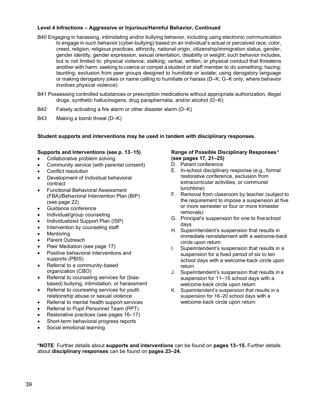### <span id="page-39-0"></span>**Level 4 Infractions – Aggressive or Injurious/Harmful Behavior, Continued**

- B40 Engaging in harassing, intimidating and/or bullying behavior, including using electronic communication to engage in such behavior (cyber-bullying) based on an individual's actual or perceived race, color, creed, religion, religious practices, ethnicity, national origin, citizenship/immigration status, gender, gender identity, gender expression, sexual orientation, disability or weight; such behavior includes, but is not limited to: physical violence; stalking; verbal, written, or physical conduct that threatens another with harm; seeking to coerce or compel a student or staff member to do something; hazing; taunting; exclusion from peer groups designed to humiliate or isolate; using derogatory language or making derogatory jokes or name calling to humiliate or harass (D–K; G–K only, where behavior involves physical violence)
- B41 Possessing controlled substances or prescription medications without appropriate authorization, illegal drugs, synthetic hallucinogens, drug paraphernalia, and/or alcohol (D–K)
- B42 Falsely activating a fire alarm or other disaster alarm (D–K)
- B43 Making a bomb threat (D–K)

#### <span id="page-39-1"></span>**Student supports and interventions may be used in tandem with disciplinary responses.**

### **Supports and Interventions (see p. 13***–***15)**

- Collaborative problem solving
- Community service (with parental consent)
- Conflict resolution
- Development of Individual behavioral contract
- Functional Behavioral Assessment (FBA)/Behavioral Intervention Plan (BIP) (see page 22)
- Guidance conference
- Individual/group counseling
- Individualized Support Plan (ISP)
- Intervention by counseling staff
- **Mentoring**
- Parent Outreach
- Peer Mediation (see page 17)
- Positive behavioral interventions and supports (PBIS)
- Referral to a community-based organization (CBO)
- Referral to counseling services for (biasbased) bullying, intimidation, or harassment
- Referral to counseling services for youth relationship abuse or sexual violence
- Referral to mental health support services
- Referral to Pupil Personnel Team (PPT)
- Restorative practices (see pages 16–17)
- Short-term behavioral progress reports
- Social emotional learning

### <span id="page-39-2"></span>**Range of Possible Disciplinary Responses***\**  **(see pages 17, 21–25)**

- D. Parent conference
- E. In-school disciplinary response (e.g., formal restorative conference, exclusion from extracurricular activities, or communal lunchtime)
- F. Removal from classroom by teacher (subject to the requirement to impose a suspension at five or more semester or four or more trimester removals)
- G. Principal's suspension for one to fiveschool days
- H. Superintendent's suspension that results in immediate reinstatement with a welcome-back circle upon return
- I. Superintendent's suspension that results in a suspension for a fixed period of six to ten school days with a welcome-back circle upon return
- J. Superintendent's suspension that results in a suspension for 11–15 school days with a welcome-back circle upon return
- K. Superintendent's suspension that results in a suspension for 16–20 school days with a welcome-back circle upon return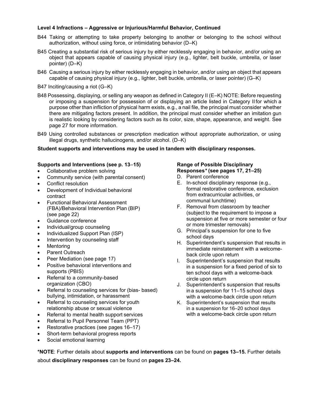### <span id="page-40-0"></span>**Level 4 Infractions – Aggressive or Injurious/Harmful Behavior, Continued**

- B44 Taking or attempting to take property belonging to another or belonging to the school without authorization, without using force, or intimidating behavior (D–K)
- B45 Creating a substantial risk of serious injury by either recklessly engaging in behavior, and/or using an object that appears capable of causing physical injury (e.g., lighter, belt buckle, umbrella, or laser pointer) (D–K)
- B46 Causing a serious injury by either recklessly engaging in behavior, and/or using an object that appears capable of causing physical injury (e.g., lighter, belt buckle, umbrella, or laser pointer) (G–K)
- B47 Inciting/causing a riot (G–K)
- B48 Possessing, displaying, or selling any weapon as defined in Category II (E–K) NOTE: Before requesting or imposing a suspension for possession of or displaying an article listed in Category II for which a purpose other than infliction of physical harm exists, e.g., a nail file, the principal must consider whether there are mitigating factors present. In addition, the principal must consider whether an imitation gun is realistic looking by considering factors such as its color, size, shape, appearance, and weight. See page 27 for more information.
- B49 Using controlled substances or prescription medication without appropriate authorization, or using illegal drugs, synthetic hallucinogens, and/or alcohol. (D–K)

### <span id="page-40-1"></span>**Student supports and interventions may be used in tandem with disciplinary responses.**

### **Supports and Interventions (see p. 13***–***15)**

- Collaborative problem solving
- Community service (with parental consent)
- Conflict resolution
- Development of Individual behavioral contract
- Functional Behavioral Assessment (FBA)/Behavioral Intervention Plan (BIP) (see page 22)
- Guidance conference
- Individual/group counseling
- Individualized Support Plan (ISP)
- Intervention by counseling staff
- **Mentoring**
- Parent Outreach
- Peer Mediation (see page 17)
- Positive behavioral interventions and supports (PBIS)
- Referral to a community-based organization (CBO)
- Referral to counseling services for (bias- based) bullying, intimidation, or harassment
- Referral to counseling services for youth relationship abuse or sexual violence
- Referral to mental health support services
- Referral to Pupil Personnel Team (PPT)
- Restorative practices (see pages 16–17)
- Short-term behavioral progress reports
- Social emotional learning

# <span id="page-40-2"></span>**Range of Possible Disciplinary Responses***\** **(see pages 17, 21–25)**

- D. Parent conference
- E. In-school disciplinary response (e.g., formal restorative conference, exclusion from extracurricular activities, or communal lunchtime)
- F. Removal from classroom by teacher (subject to the requirement to impose a suspension at five or more semester or four or more trimester removals)
- G. Principal's suspension for one to five school days
- H. Superintendent's suspension that results in immediate reinstatement with a welcomeback circle upon return
- I. Superintendent's suspension that results in a suspension for a fixed period of six to ten school days with a welcome-back circle upon return
- J. Superintendent's suspension that results in a suspension for 11–15 school days with a welcome-back circle upon return
- K. Superintendent's suspension that results in a suspension for 16–20 school days with a welcome-back circle upon return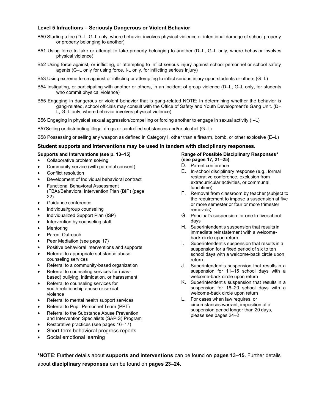#### <span id="page-41-0"></span>**Level 5 Infractions – Seriously Dangerous or Violent Behavior**

- B50 Starting a fire (D–L, G–L only, where behavior involves physical violence or intentional damage of school property or property belonging to another)
- B51 Using force to take or attempt to take property belonging to another (D–L, G–L only, where behavior involves physical violence)
- B52 Using force against, or inflicting, or attempting to inflict serious injury against school personnel or school safety agents (G–L only for using force, I-L only, for inflicting serious injury)
- B53 Using extreme force against or inflicting or attempting to inflict serious injury upon students or others (G–L)
- B54 Instigating, or participating with another or others, in an incident of group violence (D–L, G–L only, for students who commit physical violence)
- B55 Engaging in dangerous or violent behavior that is gang-related NOTE: In determining whether the behavior is gang-related, school officials may consult with the Office of Safety and Youth Development's Gang Unit. (D– L, G–L only, where behavior involves physical violence)

B56 Engaging in physical sexual aggression/compelling or forcing another to engage in sexual activity (I–L)

B57Selling or distributing illegal drugs or controlled substances and/or alcohol (G–L)

B58 Possessing or selling any weapon as defined in Category I, other than a firearm, bomb, or other explosive (E–L)

#### <span id="page-41-1"></span>**Student supports and interventions may be used in tandem with disciplinary responses.**

#### **Supports and Interventions (see p. 13***–***15)**

- Collaborative problem solving
- Community service (with parental consent)
- Conflict resolution
- Development of Individual behavioral contract
- Functional Behavioral Assessment (FBA)/Behavioral Intervention Plan (BIP) (page 22)
- Guidance conference
- Individual/group counseling
- Individualized Support Plan (ISP)
- Intervention by counseling staff
- **Mentoring**
- Parent Outreach
- Peer Mediation (see page 17)
- Positive behavioral interventions and supports
- Referral to appropriate substance abuse counseling services
- Referral to a community-based organization
- Referral to counseling services for (bias-
- based) bullying, intimidation, or harassment
- Referral to counseling services for youth relationship abuse or sexual violence
- Referral to mental health support services
- Referral to Pupil Personnel Team (PPT)
- Referral to the Substance Abuse Prevention and Intervention Specialists (SAPIS) Program
- Restorative practices (see pages 16–17)
- Short-term behavioral progress reports
- Social emotional learning

#### <span id="page-41-2"></span>**Range of Possible Disciplinary Responses***\**  **(see pages 17, 21–25)**

- D. Parent conference
- E. In-school disciplinary response (e.g., formal restorative conference, exclusion from extracurricular activities, or communal lunchtime)
- F. Removal from classroom by teacher (subject to the requirement to impose a suspension at five or more semester or four or more trimester removals)
- G. Principal's suspension for one to fiveschool days
- H. Superintendent's suspension that results in immediate reinstatement with a welcomeback circle upon return
- I. Superintendent's suspension that results in a suspension for a fixed period of six to ten school days with a welcome-back circle upon return
- J. Superintendent's suspension that results in a suspension for 11–15 school days with a welcome-back circle upon return
- K. Superintendent's suspension that results in a suspension for 16–20 school days with a welcome-back circle upon return
- L. For cases when law requires, or circumstances warrant, imposition of a suspension period longer than 20 days, please see pages 24–2